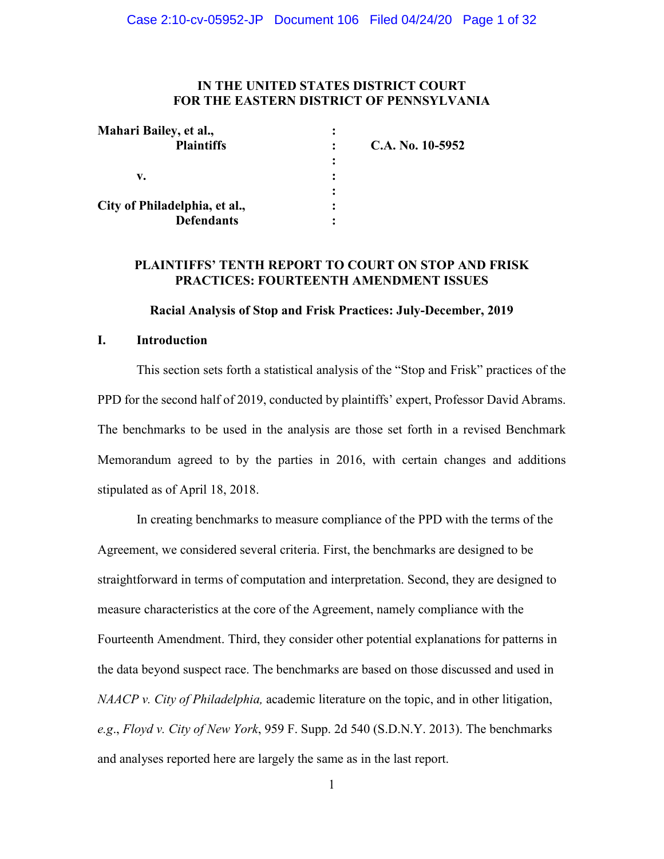#### **IN THE UNITED STATES DISTRICT COURT FOR THE EASTERN DISTRICT OF PENNSYLVANIA**

| Mahari Bailey, et al.,        |   |                  |
|-------------------------------|---|------------------|
| <b>Plaintiffs</b>             |   | C.A. No. 10-5952 |
|                               | ٠ |                  |
| v.                            | ٠ |                  |
|                               |   |                  |
| City of Philadelphia, et al., |   |                  |
| <b>Defendants</b>             |   |                  |

#### **PLAINTIFFS' TENTH REPORT TO COURT ON STOP AND FRISK PRACTICES: FOURTEENTH AMENDMENT ISSUES**

#### **Racial Analysis of Stop and Frisk Practices: July-December, 2019**

#### **I. Introduction**

This section sets forth a statistical analysis of the "Stop and Frisk" practices of the PPD for the second half of 2019, conducted by plaintiffs' expert, Professor David Abrams. The benchmarks to be used in the analysis are those set forth in a revised Benchmark Memorandum agreed to by the parties in 2016, with certain changes and additions stipulated as of April 18, 2018.

In creating benchmarks to measure compliance of the PPD with the terms of the Agreement, we considered several criteria. First, the benchmarks are designed to be straightforward in terms of computation and interpretation. Second, they are designed to measure characteristics at the core of the Agreement, namely compliance with the Fourteenth Amendment. Third, they consider other potential explanations for patterns in the data beyond suspect race. The benchmarks are based on those discussed and used in *NAACP v. City of Philadelphia,* academic literature on the topic, and in other litigation, *e.g*., *Floyd v. City of New York*, 959 F. Supp. 2d 540 (S.D.N.Y. 2013). The benchmarks and analyses reported here are largely the same as in the last report.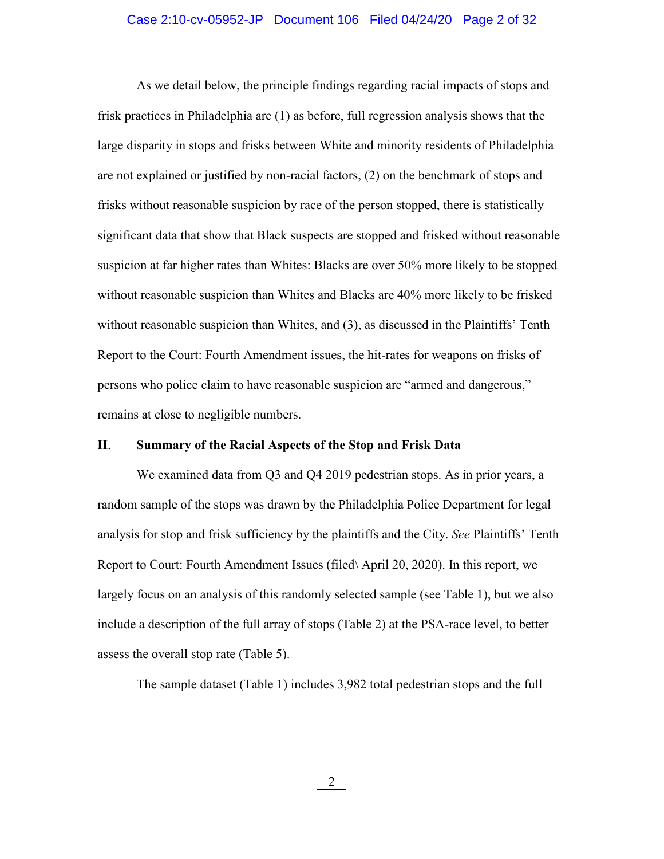#### Case 2:10-cv-05952-JP Document 106 Filed 04/24/20 Page 2 of 32

As we detail below, the principle findings regarding racial impacts of stops and frisk practices in Philadelphia are (1) as before, full regression analysis shows that the large disparity in stops and frisks between White and minority residents of Philadelphia are not explained or justified by non-racial factors, (2) on the benchmark of stops and frisks without reasonable suspicion by race of the person stopped, there is statistically significant data that show that Black suspects are stopped and frisked without reasonable suspicion at far higher rates than Whites: Blacks are over 50% more likely to be stopped without reasonable suspicion than Whites and Blacks are 40% more likely to be frisked without reasonable suspicion than Whites, and (3), as discussed in the Plaintiffs' Tenth Report to the Court: Fourth Amendment issues, the hit-rates for weapons on frisks of persons who police claim to have reasonable suspicion are "armed and dangerous," remains at close to negligible numbers.

#### **II**. **Summary of the Racial Aspects of the Stop and Frisk Data**

We examined data from Q3 and Q4 2019 pedestrian stops. As in prior years, a random sample of the stops was drawn by the Philadelphia Police Department for legal analysis for stop and frisk sufficiency by the plaintiffs and the City. *See* Plaintiffs' Tenth Report to Court: Fourth Amendment Issues (filed\ April 20, 2020). In this report, we largely focus on an analysis of this randomly selected sample (see Table 1), but we also include a description of the full array of stops (Table 2) at the PSA-race level, to better assess the overall stop rate (Table 5).

The sample dataset (Table 1) includes 3,982 total pedestrian stops and the full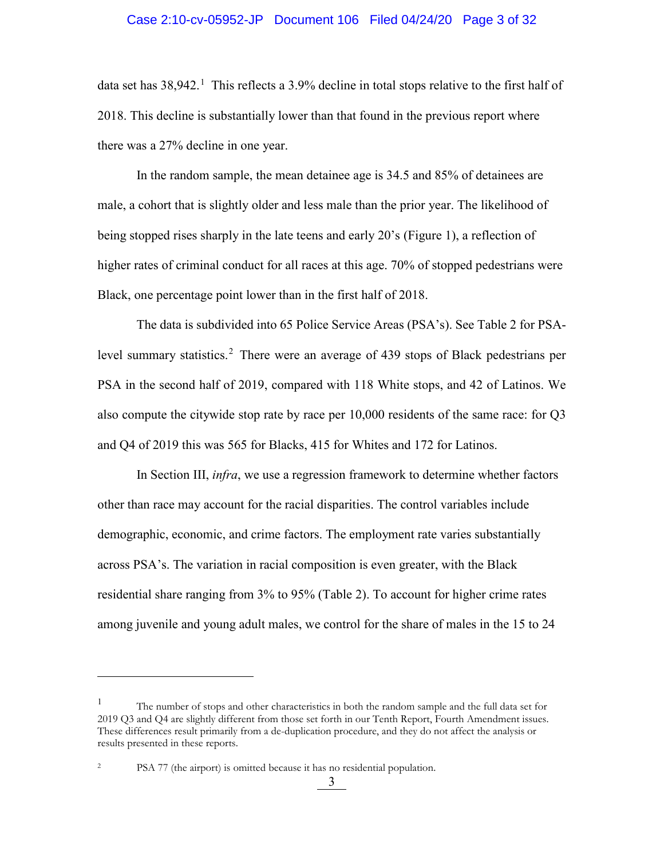#### Case 2:10-cv-05952-JP Document 106 Filed 04/24/20 Page 3 of 32

data set has 38,942.<sup>[1](#page-2-0)</sup> This reflects a 3.9% decline in total stops relative to the first half of 2018. This decline is substantially lower than that found in the previous report where there was a 27% decline in one year.

In the random sample, the mean detainee age is 34.5 and 85% of detainees are male, a cohort that is slightly older and less male than the prior year. The likelihood of being stopped rises sharply in the late teens and early 20's (Figure 1), a reflection of higher rates of criminal conduct for all races at this age. 70% of stopped pedestrians were Black, one percentage point lower than in the first half of 2018.

The data is subdivided into 65 Police Service Areas (PSA's). See Table 2 for PSA-level summary statistics.<sup>[2](#page-2-1)</sup> There were an average of 439 stops of Black pedestrians per PSA in the second half of 2019, compared with 118 White stops, and 42 of Latinos. We also compute the citywide stop rate by race per 10,000 residents of the same race: for Q3 and Q4 of 2019 this was 565 for Blacks, 415 for Whites and 172 for Latinos.

In Section III, *infra*, we use a regression framework to determine whether factors other than race may account for the racial disparities. The control variables include demographic, economic, and crime factors. The employment rate varies substantially across PSA's. The variation in racial composition is even greater, with the Black residential share ranging from 3% to 95% (Table 2). To account for higher crime rates among juvenile and young adult males, we control for the share of males in the 15 to 24

 $\overline{a}$ 

<span id="page-2-0"></span><sup>1</sup> The number of stops and other characteristics in both the random sample and the full data set for 2019 Q3 and Q4 are slightly different from those set forth in our Tenth Report, Fourth Amendment issues. These differences result primarily from a de-duplication procedure, and they do not affect the analysis or results presented in these reports.

<span id="page-2-1"></span><sup>2</sup> PSA 77 (the airport) is omitted because it has no residential population.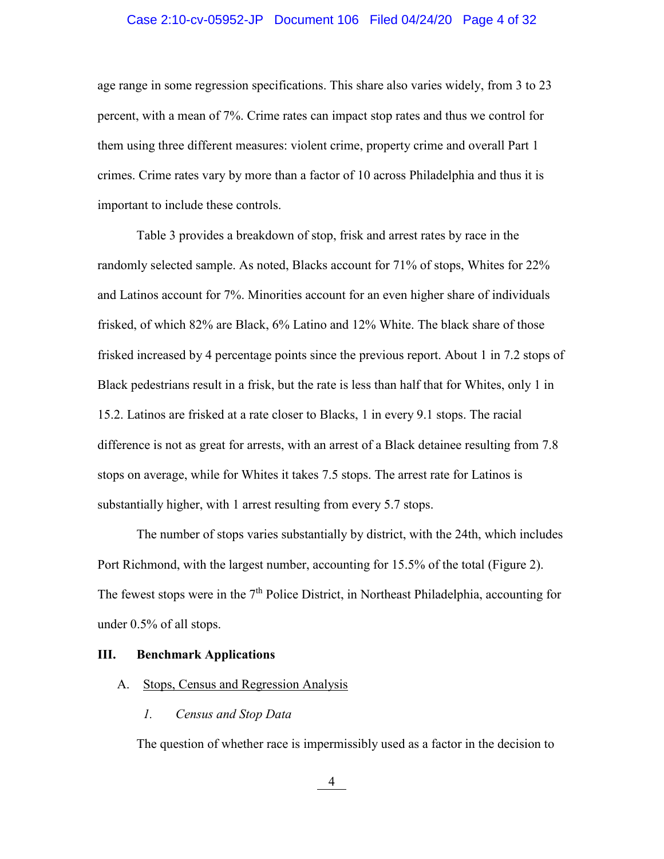#### Case 2:10-cv-05952-JP Document 106 Filed 04/24/20 Page 4 of 32

age range in some regression specifications. This share also varies widely, from 3 to 23 percent, with a mean of 7%. Crime rates can impact stop rates and thus we control for them using three different measures: violent crime, property crime and overall Part 1 crimes. Crime rates vary by more than a factor of 10 across Philadelphia and thus it is important to include these controls.

Table 3 provides a breakdown of stop, frisk and arrest rates by race in the randomly selected sample. As noted, Blacks account for 71% of stops, Whites for 22% and Latinos account for 7%. Minorities account for an even higher share of individuals frisked, of which 82% are Black, 6% Latino and 12% White. The black share of those frisked increased by 4 percentage points since the previous report. About 1 in 7.2 stops of Black pedestrians result in a frisk, but the rate is less than half that for Whites, only 1 in 15.2. Latinos are frisked at a rate closer to Blacks, 1 in every 9.1 stops. The racial difference is not as great for arrests, with an arrest of a Black detainee resulting from 7.8 stops on average, while for Whites it takes 7.5 stops. The arrest rate for Latinos is substantially higher, with 1 arrest resulting from every 5.7 stops.

The number of stops varies substantially by district, with the 24th, which includes Port Richmond, with the largest number, accounting for 15.5% of the total (Figure 2). The fewest stops were in the  $7<sup>th</sup>$  Police District, in Northeast Philadelphia, accounting for under 0.5% of all stops.

#### **III. Benchmark Applications**

#### A. Stops, Census and Regression Analysis

*1. Census and Stop Data*

The question of whether race is impermissibly used as a factor in the decision to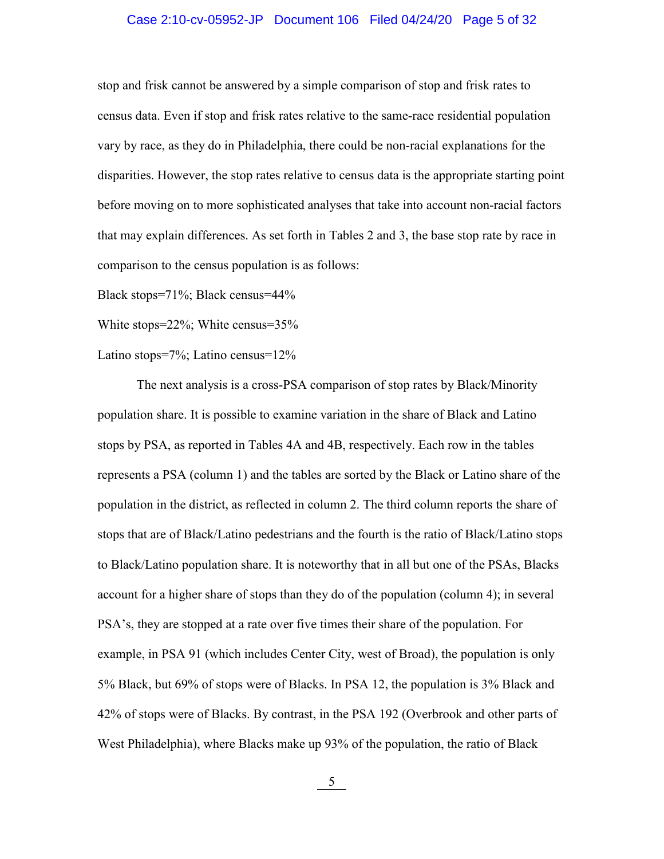#### Case 2:10-cv-05952-JP Document 106 Filed 04/24/20 Page 5 of 32

stop and frisk cannot be answered by a simple comparison of stop and frisk rates to census data. Even if stop and frisk rates relative to the same-race residential population vary by race, as they do in Philadelphia, there could be non-racial explanations for the disparities. However, the stop rates relative to census data is the appropriate starting point before moving on to more sophisticated analyses that take into account non-racial factors that may explain differences. As set forth in Tables 2 and 3, the base stop rate by race in comparison to the census population is as follows:

Black stops=71%; Black census=44%

White stops=22%; White census=35%

Latino stops=7%; Latino census=12%

The next analysis is a cross-PSA comparison of stop rates by Black/Minority population share. It is possible to examine variation in the share of Black and Latino stops by PSA, as reported in Tables 4A and 4B, respectively. Each row in the tables represents a PSA (column 1) and the tables are sorted by the Black or Latino share of the population in the district, as reflected in column 2. The third column reports the share of stops that are of Black/Latino pedestrians and the fourth is the ratio of Black/Latino stops to Black/Latino population share. It is noteworthy that in all but one of the PSAs, Blacks account for a higher share of stops than they do of the population (column 4); in several PSA's, they are stopped at a rate over five times their share of the population. For example, in PSA 91 (which includes Center City, west of Broad), the population is only 5% Black, but 69% of stops were of Blacks. In PSA 12, the population is 3% Black and 42% of stops were of Blacks. By contrast, in the PSA 192 (Overbrook and other parts of West Philadelphia), where Blacks make up 93% of the population, the ratio of Black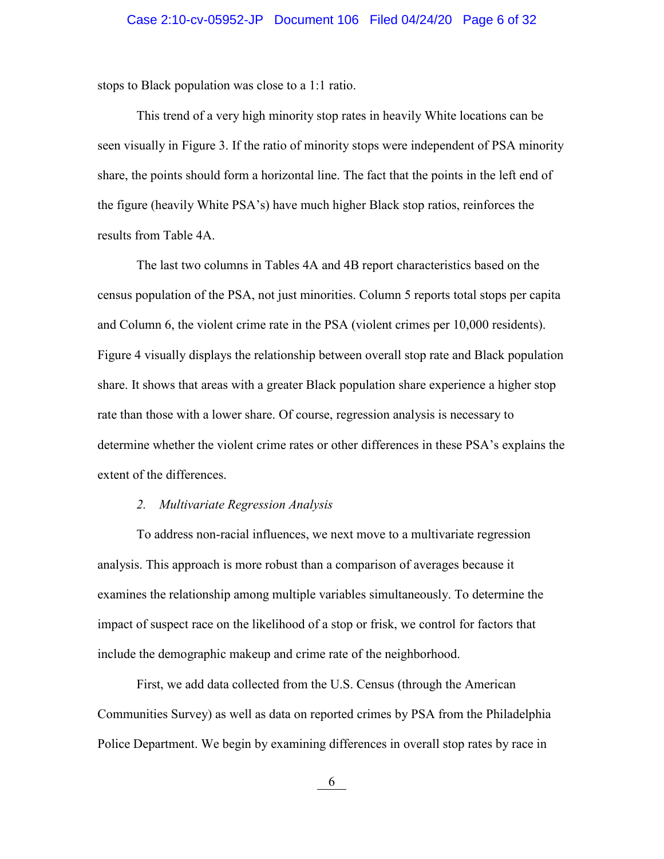stops to Black population was close to a 1:1 ratio.

This trend of a very high minority stop rates in heavily White locations can be seen visually in Figure 3. If the ratio of minority stops were independent of PSA minority share, the points should form a horizontal line. The fact that the points in the left end of the figure (heavily White PSA's) have much higher Black stop ratios, reinforces the results from Table 4A.

The last two columns in Tables 4A and 4B report characteristics based on the census population of the PSA, not just minorities. Column 5 reports total stops per capita and Column 6, the violent crime rate in the PSA (violent crimes per 10,000 residents). Figure 4 visually displays the relationship between overall stop rate and Black population share. It shows that areas with a greater Black population share experience a higher stop rate than those with a lower share. Of course, regression analysis is necessary to determine whether the violent crime rates or other differences in these PSA's explains the extent of the differences.

#### *2. Multivariate Regression Analysis*

To address non-racial influences, we next move to a multivariate regression analysis. This approach is more robust than a comparison of averages because it examines the relationship among multiple variables simultaneously. To determine the impact of suspect race on the likelihood of a stop or frisk, we control for factors that include the demographic makeup and crime rate of the neighborhood.

First, we add data collected from the U.S. Census (through the American Communities Survey) as well as data on reported crimes by PSA from the Philadelphia Police Department. We begin by examining differences in overall stop rates by race in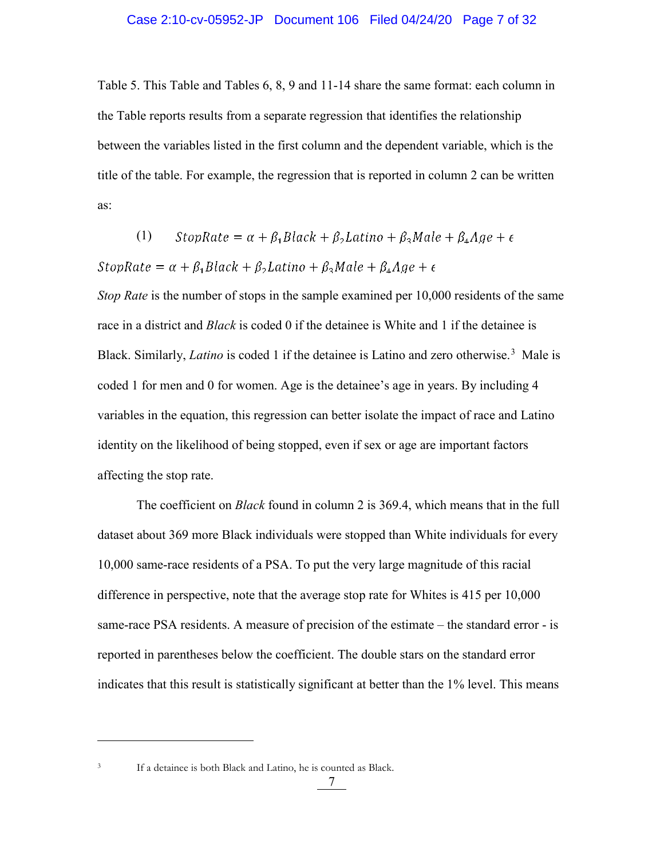Table 5. This Table and Tables 6, 8, 9 and 11-14 share the same format: each column in the Table reports results from a separate regression that identifies the relationship between the variables listed in the first column and the dependent variable, which is the title of the table. For example, the regression that is reported in column 2 can be written as:

(1) StopRate = 
$$
\alpha + \beta_1 Black + \beta_2Latino + \beta_3 Male + \beta_4 Age + \epsilon
$$

StopRate =  $\alpha + \beta_1 Black + \beta_2 Latino + \beta_3 Male + \beta_4 Age + \epsilon$ 

*Stop Rate* is the number of stops in the sample examined per 10,000 residents of the same race in a district and *Black* is coded 0 if the detainee is White and 1 if the detainee is Black. Similarly, *Latino* is coded 1 if the detainee is Latino and zero otherwise.<sup>[3](#page-6-0)</sup> Male is coded 1 for men and 0 for women. Age is the detainee's age in years. By including 4 variables in the equation, this regression can better isolate the impact of race and Latino identity on the likelihood of being stopped, even if sex or age are important factors affecting the stop rate.

The coefficient on *Black* found in column 2 is 369.4, which means that in the full dataset about 369 more Black individuals were stopped than White individuals for every 10,000 same-race residents of a PSA. To put the very large magnitude of this racial difference in perspective, note that the average stop rate for Whites is 415 per 10,000 same-race PSA residents. A measure of precision of the estimate – the standard error - is reported in parentheses below the coefficient. The double stars on the standard error indicates that this result is statistically significant at better than the 1% level. This means

<span id="page-6-0"></span>

 $\overline{a}$ 

<sup>3</sup> If a detainee is both Black and Latino, he is counted as Black.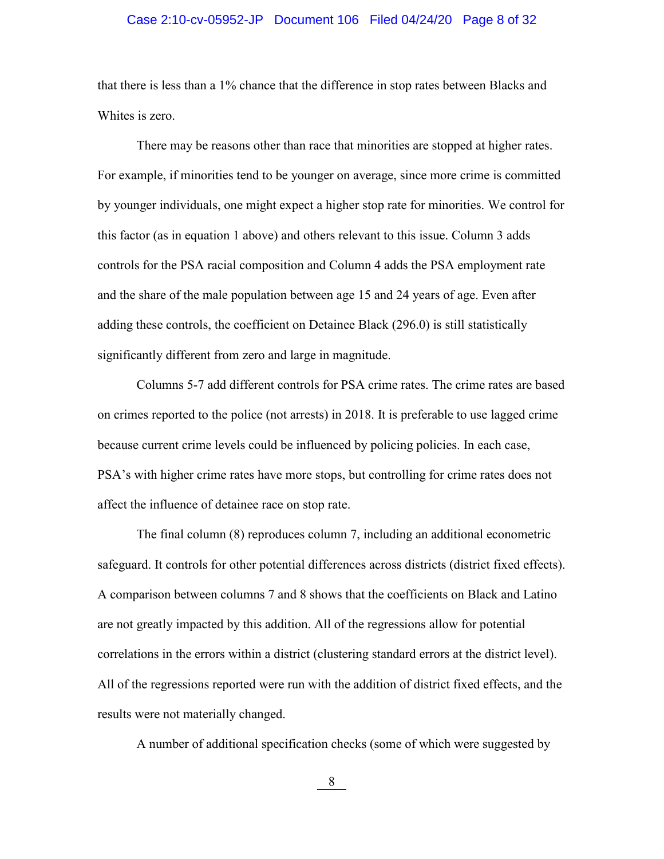#### Case 2:10-cv-05952-JP Document 106 Filed 04/24/20 Page 8 of 32

that there is less than a 1% chance that the difference in stop rates between Blacks and Whites is zero.

There may be reasons other than race that minorities are stopped at higher rates. For example, if minorities tend to be younger on average, since more crime is committed by younger individuals, one might expect a higher stop rate for minorities. We control for this factor (as in equation 1 above) and others relevant to this issue. Column 3 adds controls for the PSA racial composition and Column 4 adds the PSA employment rate and the share of the male population between age 15 and 24 years of age. Even after adding these controls, the coefficient on Detainee Black (296.0) is still statistically significantly different from zero and large in magnitude.

Columns 5-7 add different controls for PSA crime rates. The crime rates are based on crimes reported to the police (not arrests) in 2018. It is preferable to use lagged crime because current crime levels could be influenced by policing policies. In each case, PSA's with higher crime rates have more stops, but controlling for crime rates does not affect the influence of detainee race on stop rate.

The final column (8) reproduces column 7, including an additional econometric safeguard. It controls for other potential differences across districts (district fixed effects). A comparison between columns 7 and 8 shows that the coefficients on Black and Latino are not greatly impacted by this addition. All of the regressions allow for potential correlations in the errors within a district (clustering standard errors at the district level). All of the regressions reported were run with the addition of district fixed effects, and the results were not materially changed.

A number of additional specification checks (some of which were suggested by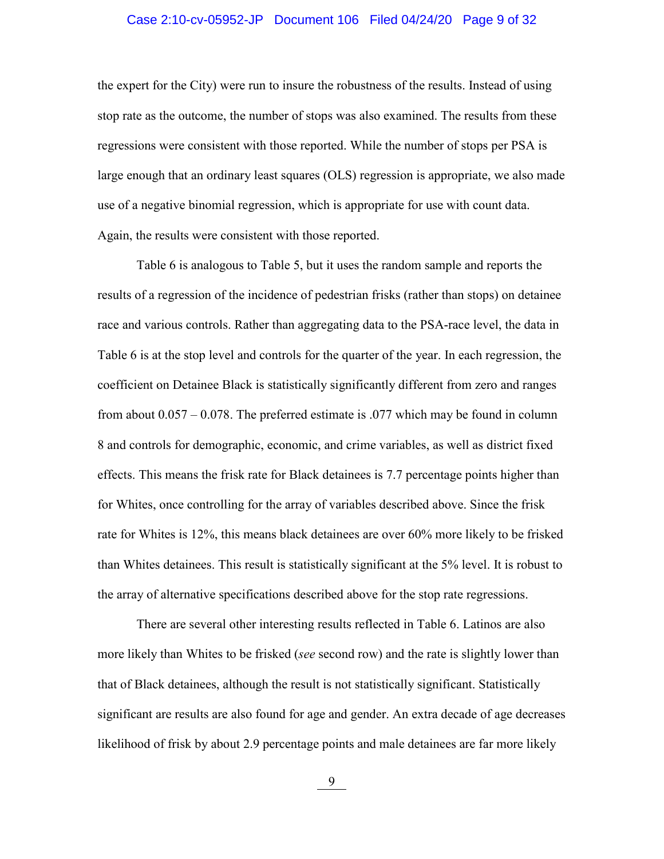### Case 2:10-cv-05952-JP Document 106 Filed 04/24/20 Page 9 of 32

the expert for the City) were run to insure the robustness of the results. Instead of using stop rate as the outcome, the number of stops was also examined. The results from these regressions were consistent with those reported. While the number of stops per PSA is large enough that an ordinary least squares (OLS) regression is appropriate, we also made use of a negative binomial regression, which is appropriate for use with count data. Again, the results were consistent with those reported.

Table 6 is analogous to Table 5, but it uses the random sample and reports the results of a regression of the incidence of pedestrian frisks (rather than stops) on detainee race and various controls. Rather than aggregating data to the PSA-race level, the data in Table 6 is at the stop level and controls for the quarter of the year. In each regression, the coefficient on Detainee Black is statistically significantly different from zero and ranges from about 0.057 – 0.078. The preferred estimate is .077 which may be found in column 8 and controls for demographic, economic, and crime variables, as well as district fixed effects. This means the frisk rate for Black detainees is 7.7 percentage points higher than for Whites, once controlling for the array of variables described above. Since the frisk rate for Whites is 12%, this means black detainees are over 60% more likely to be frisked than Whites detainees. This result is statistically significant at the 5% level. It is robust to the array of alternative specifications described above for the stop rate regressions.

There are several other interesting results reflected in Table 6. Latinos are also more likely than Whites to be frisked (*see* second row) and the rate is slightly lower than that of Black detainees, although the result is not statistically significant. Statistically significant are results are also found for age and gender. An extra decade of age decreases likelihood of frisk by about 2.9 percentage points and male detainees are far more likely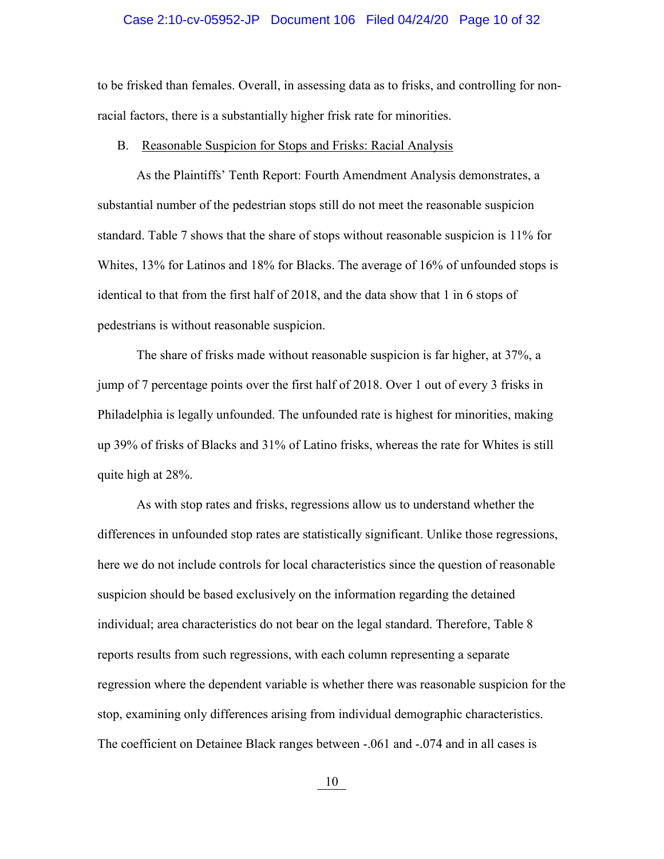#### Case 2:10-cv-05952-JP Document 106 Filed 04/24/20 Page 10 of 32

to be frisked than females. Overall, in assessing data as to frisks, and controlling for nonracial factors, there is a substantially higher frisk rate for minorities.

#### B. Reasonable Suspicion for Stops and Frisks: Racial Analysis

As the Plaintiffs' Tenth Report: Fourth Amendment Analysis demonstrates, a substantial number of the pedestrian stops still do not meet the reasonable suspicion standard. Table 7 shows that the share of stops without reasonable suspicion is 11% for Whites, 13% for Latinos and 18% for Blacks. The average of 16% of unfounded stops is identical to that from the first half of 2018, and the data show that 1 in 6 stops of pedestrians is without reasonable suspicion.

The share of frisks made without reasonable suspicion is far higher, at 37%, a jump of 7 percentage points over the first half of 2018. Over 1 out of every 3 frisks in Philadelphia is legally unfounded. The unfounded rate is highest for minorities, making up 39% of frisks of Blacks and 31% of Latino frisks, whereas the rate for Whites is still quite high at 28%.

As with stop rates and frisks, regressions allow us to understand whether the differences in unfounded stop rates are statistically significant. Unlike those regressions, here we do not include controls for local characteristics since the question of reasonable suspicion should be based exclusively on the information regarding the detained individual; area characteristics do not bear on the legal standard. Therefore, Table 8 reports results from such regressions, with each column representing a separate regression where the dependent variable is whether there was reasonable suspicion for the stop, examining only differences arising from individual demographic characteristics. The coefficient on Detainee Black ranges between -.061 and -.074 and in all cases is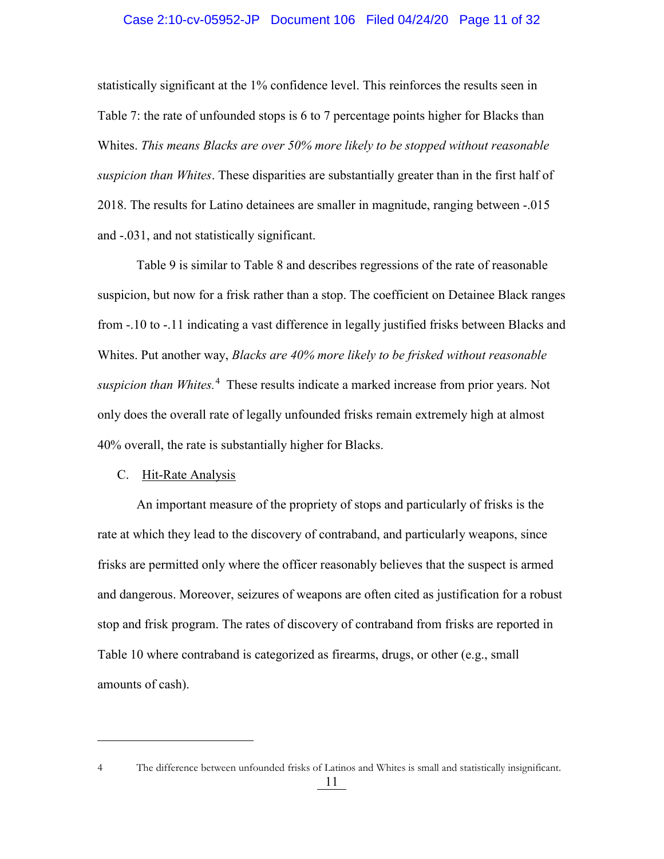#### Case 2:10-cv-05952-JP Document 106 Filed 04/24/20 Page 11 of 32

statistically significant at the 1% confidence level. This reinforces the results seen in Table 7: the rate of unfounded stops is 6 to 7 percentage points higher for Blacks than Whites. *This means Blacks are over 50% more likely to be stopped without reasonable suspicion than Whites*. These disparities are substantially greater than in the first half of 2018. The results for Latino detainees are smaller in magnitude, ranging between -.015 and -.031, and not statistically significant.

Table 9 is similar to Table 8 and describes regressions of the rate of reasonable suspicion, but now for a frisk rather than a stop. The coefficient on Detainee Black ranges from -.10 to -.11 indicating a vast difference in legally justified frisks between Blacks and Whites. Put another way, *Blacks are 40% more likely to be frisked without reasonable suspicion than Whites.*[4](#page-10-0) These results indicate a marked increase from prior years. Not only does the overall rate of legally unfounded frisks remain extremely high at almost 40% overall, the rate is substantially higher for Blacks.

#### C. Hit-Rate Analysis

 $\overline{a}$ 

An important measure of the propriety of stops and particularly of frisks is the rate at which they lead to the discovery of contraband, and particularly weapons, since frisks are permitted only where the officer reasonably believes that the suspect is armed and dangerous. Moreover, seizures of weapons are often cited as justification for a robust stop and frisk program. The rates of discovery of contraband from frisks are reported in Table 10 where contraband is categorized as firearms, drugs, or other (e.g., small amounts of cash).

<span id="page-10-0"></span><sup>4</sup> The difference between unfounded frisks of Latinos and Whites is small and statistically insignificant.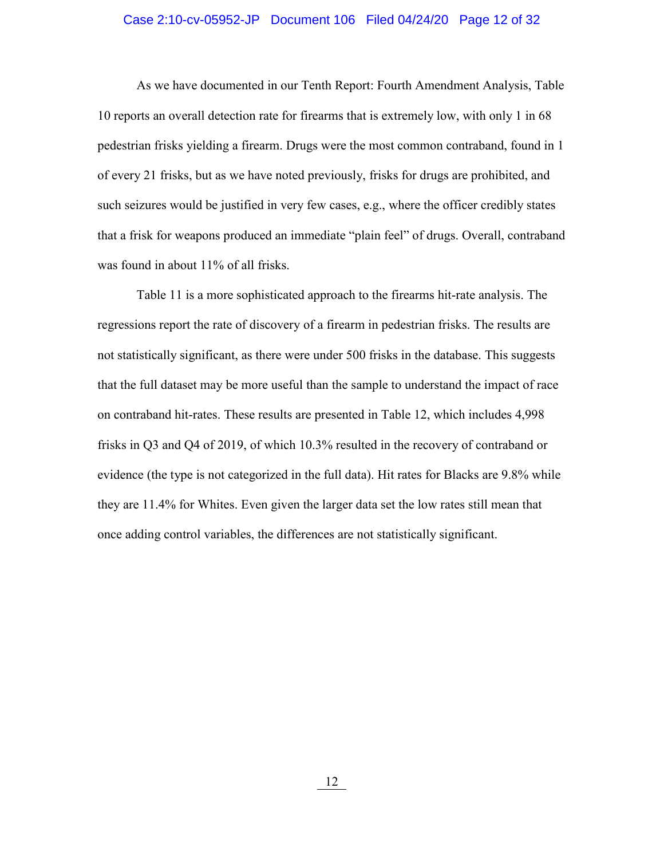#### Case 2:10-cv-05952-JP Document 106 Filed 04/24/20 Page 12 of 32

As we have documented in our Tenth Report: Fourth Amendment Analysis, Table 10 reports an overall detection rate for firearms that is extremely low, with only 1 in 68 pedestrian frisks yielding a firearm. Drugs were the most common contraband, found in 1 of every 21 frisks, but as we have noted previously, frisks for drugs are prohibited, and such seizures would be justified in very few cases, e.g., where the officer credibly states that a frisk for weapons produced an immediate "plain feel" of drugs. Overall, contraband was found in about 11% of all frisks.

Table 11 is a more sophisticated approach to the firearms hit-rate analysis. The regressions report the rate of discovery of a firearm in pedestrian frisks. The results are not statistically significant, as there were under 500 frisks in the database. This suggests that the full dataset may be more useful than the sample to understand the impact of race on contraband hit-rates. These results are presented in Table 12, which includes 4,998 frisks in Q3 and Q4 of 2019, of which 10.3% resulted in the recovery of contraband or evidence (the type is not categorized in the full data). Hit rates for Blacks are 9.8% while they are 11.4% for Whites. Even given the larger data set the low rates still mean that once adding control variables, the differences are not statistically significant.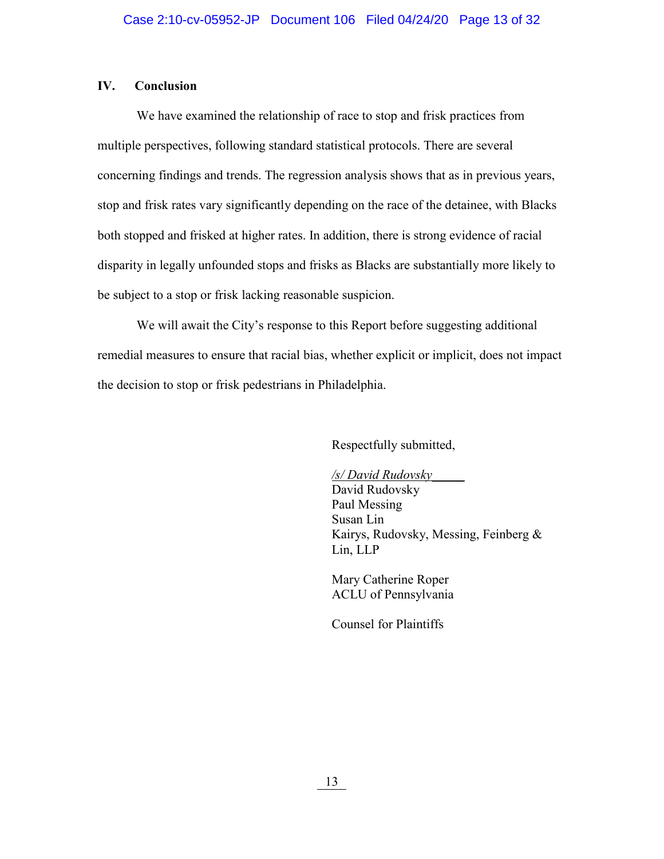#### **IV. Conclusion**

We have examined the relationship of race to stop and frisk practices from multiple perspectives, following standard statistical protocols. There are several concerning findings and trends. The regression analysis shows that as in previous years, stop and frisk rates vary significantly depending on the race of the detainee, with Blacks both stopped and frisked at higher rates. In addition, there is strong evidence of racial disparity in legally unfounded stops and frisks as Blacks are substantially more likely to be subject to a stop or frisk lacking reasonable suspicion.

We will await the City's response to this Report before suggesting additional remedial measures to ensure that racial bias, whether explicit or implicit, does not impact the decision to stop or frisk pedestrians in Philadelphia.

Respectfully submitted,

 */s/ David Rudovsky*\_\_\_\_\_ David Rudovsky Paul Messing Susan Lin Kairys, Rudovsky, Messing, Feinberg & Lin, LLP

 Mary Catherine Roper ACLU of Pennsylvania

Counsel for Plaintiffs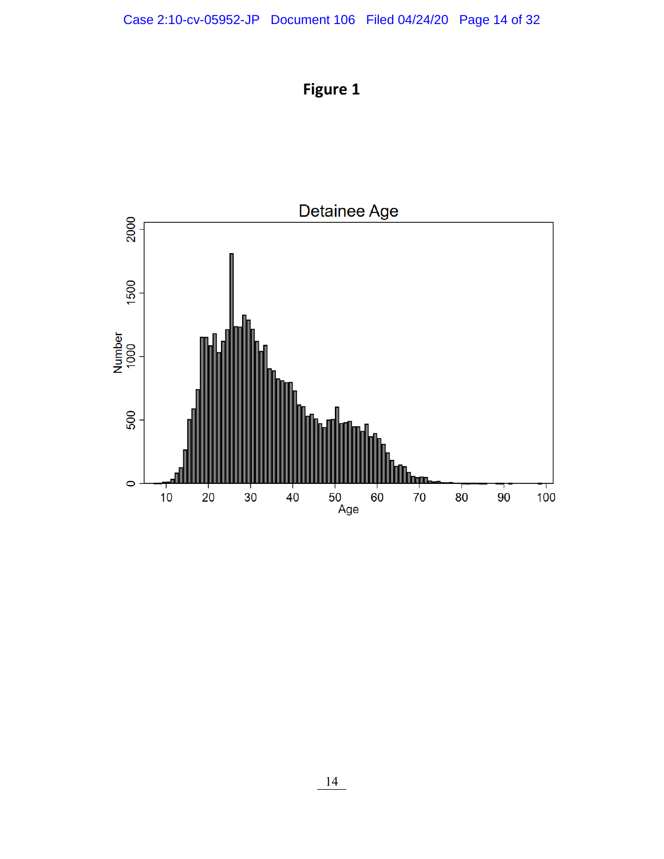**Figure 1**

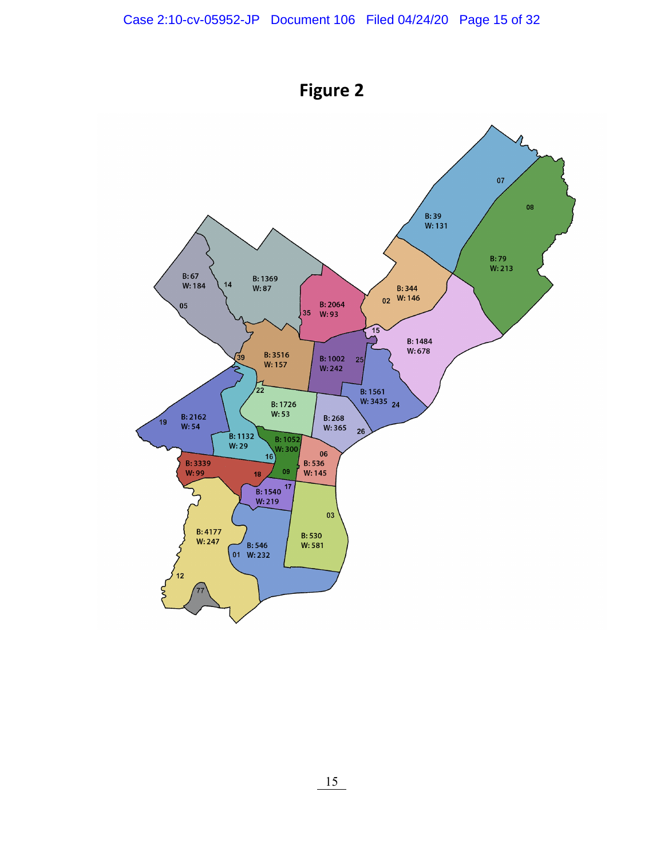

**Figure 2**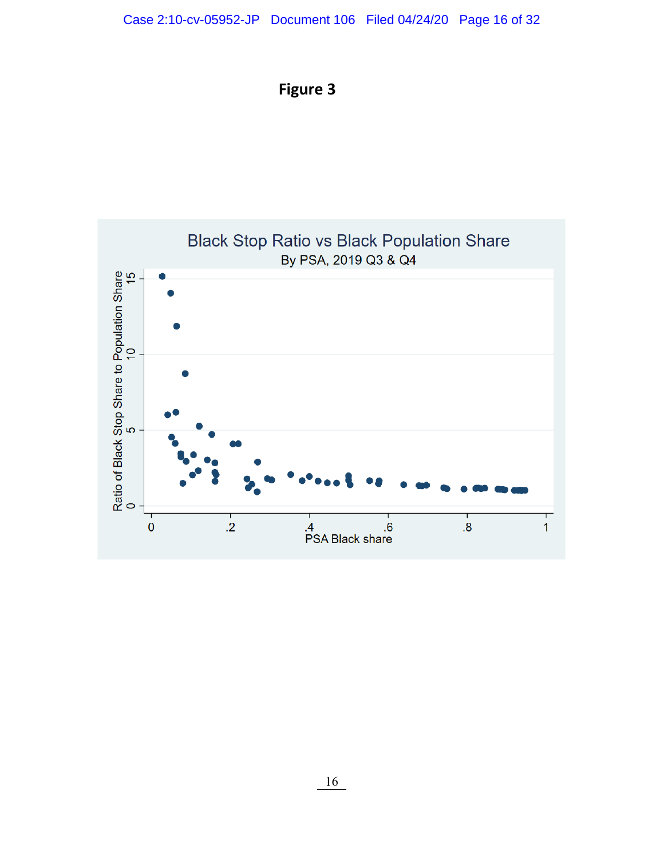

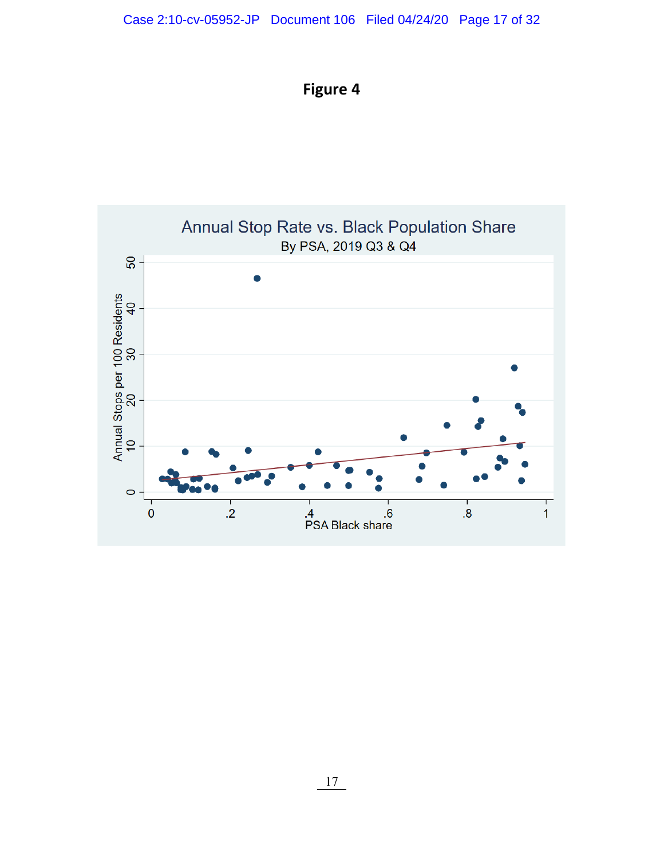## Case 2:10-cv-05952-JP Document 106 Filed 04/24/20 Page 17 of 32



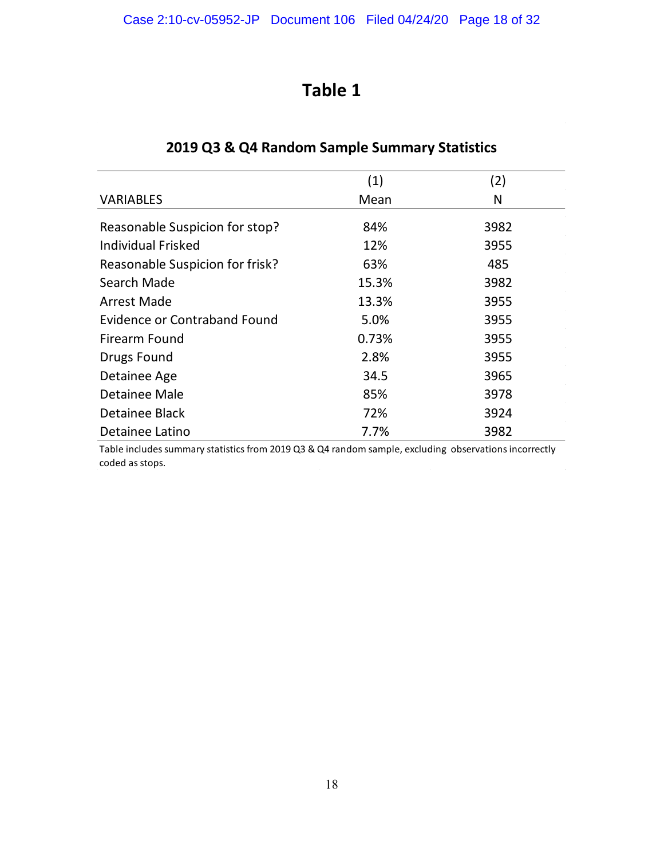|                                     | (1)   | (2)  |
|-------------------------------------|-------|------|
| <b>VARIABLES</b>                    | Mean  | N    |
| Reasonable Suspicion for stop?      | 84%   | 3982 |
| <b>Individual Frisked</b>           | 12%   | 3955 |
| Reasonable Suspicion for frisk?     | 63%   | 485  |
| Search Made                         | 15.3% | 3982 |
| <b>Arrest Made</b>                  | 13.3% | 3955 |
| <b>Evidence or Contraband Found</b> | 5.0%  | 3955 |
| Firearm Found                       | 0.73% | 3955 |
| Drugs Found                         | 2.8%  | 3955 |
| Detainee Age                        | 34.5  | 3965 |
| Detainee Male                       | 85%   | 3978 |
| Detainee Black                      | 72%   | 3924 |
| Detainee Latino                     | 7.7%  | 3982 |

## **2019 Q3 & Q4 Random Sample Summary Statistics**

Table includes summary statistics from 2019 Q3 & Q4 random sample, excluding observations incorrectly coded as stops.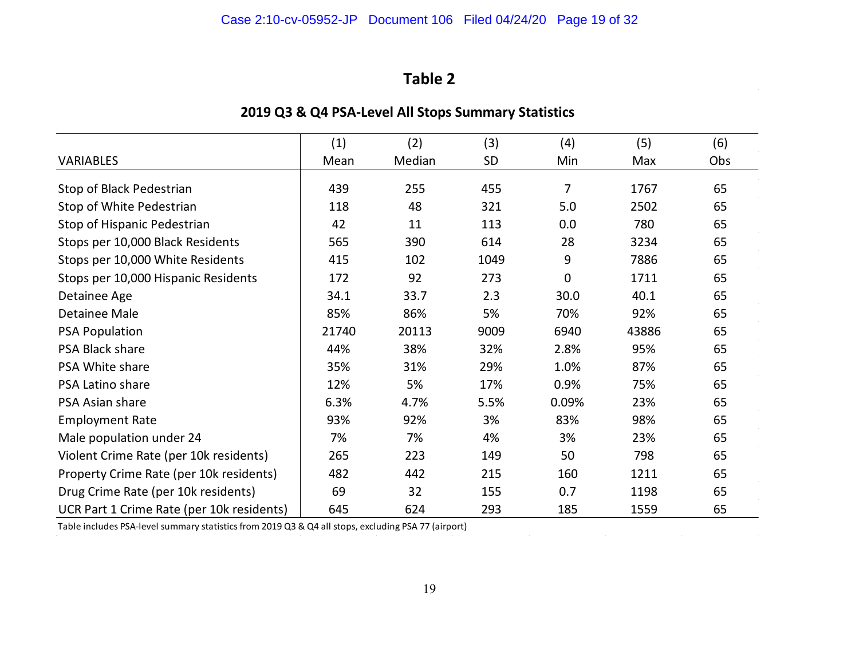|                                           | (1)   | (2)    | (3)  | (4)            | (5)   | (6) |
|-------------------------------------------|-------|--------|------|----------------|-------|-----|
| <b>VARIABLES</b>                          | Mean  | Median | SD   | Min            | Max   | Obs |
| Stop of Black Pedestrian                  | 439   | 255    | 455  | $\overline{7}$ | 1767  | 65  |
| Stop of White Pedestrian                  | 118   | 48     | 321  | 5.0            | 2502  | 65  |
| Stop of Hispanic Pedestrian               | 42    | 11     | 113  | 0.0            | 780   | 65  |
| Stops per 10,000 Black Residents          | 565   | 390    | 614  | 28             | 3234  | 65  |
| Stops per 10,000 White Residents          | 415   | 102    | 1049 | 9              | 7886  | 65  |
| Stops per 10,000 Hispanic Residents       | 172   | 92     | 273  | $\mathbf 0$    | 1711  | 65  |
| Detainee Age                              | 34.1  | 33.7   | 2.3  | 30.0           | 40.1  | 65  |
| <b>Detainee Male</b>                      | 85%   | 86%    | 5%   | 70%            | 92%   | 65  |
| <b>PSA Population</b>                     | 21740 | 20113  | 9009 | 6940           | 43886 | 65  |
| PSA Black share                           | 44%   | 38%    | 32%  | 2.8%           | 95%   | 65  |
| PSA White share                           | 35%   | 31%    | 29%  | 1.0%           | 87%   | 65  |
| PSA Latino share                          | 12%   | 5%     | 17%  | 0.9%           | 75%   | 65  |
| PSA Asian share                           | 6.3%  | 4.7%   | 5.5% | 0.09%          | 23%   | 65  |
| <b>Employment Rate</b>                    | 93%   | 92%    | 3%   | 83%            | 98%   | 65  |
| Male population under 24                  | 7%    | 7%     | 4%   | 3%             | 23%   | 65  |
| Violent Crime Rate (per 10k residents)    | 265   | 223    | 149  | 50             | 798   | 65  |
| Property Crime Rate (per 10k residents)   | 482   | 442    | 215  | 160            | 1211  | 65  |
| Drug Crime Rate (per 10k residents)       | 69    | 32     | 155  | 0.7            | 1198  | 65  |
| UCR Part 1 Crime Rate (per 10k residents) | 645   | 624    | 293  | 185            | 1559  | 65  |

## **2019 Q3 & Q4 PSA-Level All Stops Summary Statistics**

Table includes PSA-level summary statistics from 2019 Q3 & Q4 all stops, excluding PSA 77 (airport)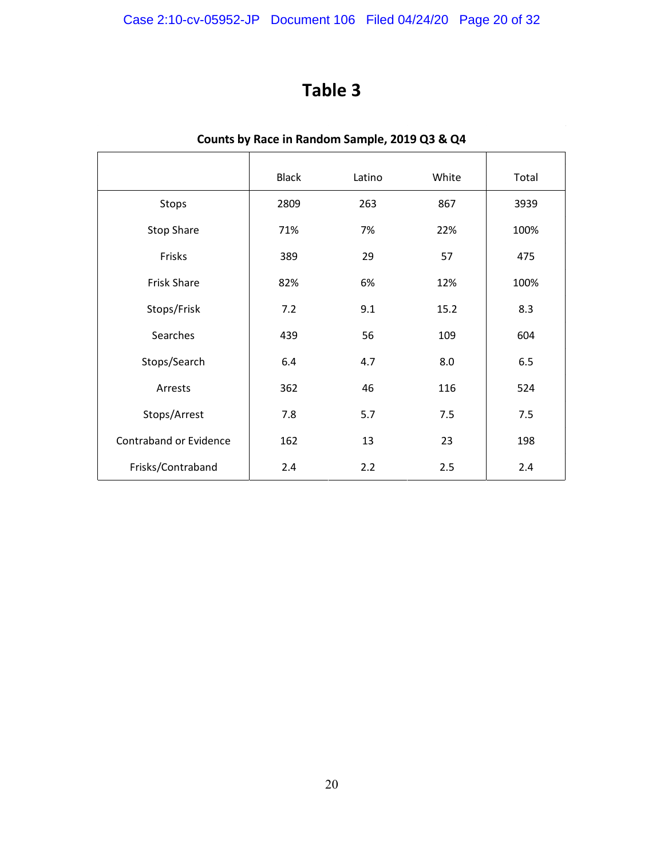## Case 2:10-cv-05952-JP Document 106 Filed 04/24/20 Page 20 of 32

## **Table 3**

|                        | <b>Black</b> | Latino | White | Total |
|------------------------|--------------|--------|-------|-------|
| Stops                  | 2809         | 263    | 867   | 3939  |
| <b>Stop Share</b>      | 71%          | 7%     | 22%   | 100%  |
| Frisks                 | 389          | 29     | 57    | 475   |
| <b>Frisk Share</b>     | 82%          | 6%     | 12%   | 100%  |
| Stops/Frisk            | 7.2          | 9.1    | 15.2  | 8.3   |
| Searches               | 439          | 56     | 109   | 604   |
| Stops/Search           | 6.4          | 4.7    | 8.0   | 6.5   |
| Arrests                | 362          | 46     | 116   | 524   |
| Stops/Arrest           | 7.8          | 5.7    | 7.5   | 7.5   |
| Contraband or Evidence | 162          | 13     | 23    | 198   |
| Frisks/Contraband      | 2.4          | 2.2    | 2.5   | 2.4   |

## **Counts by Race in Random Sample, 2019 Q3 & Q4**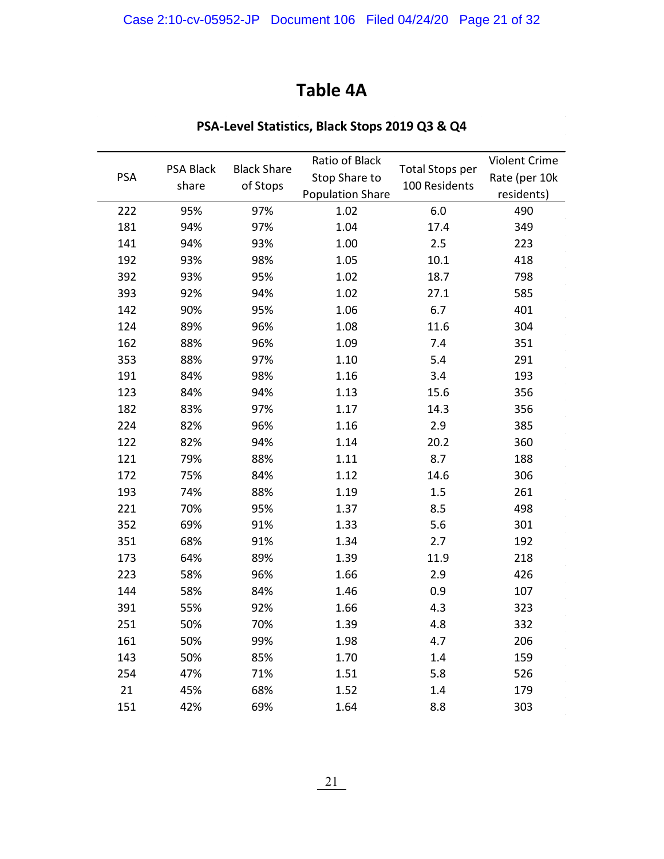## **Table 4A**

| <b>PSA</b> | PSA Black<br>share | <b>Black Share</b><br>of Stops | Ratio of Black<br>Stop Share to<br><b>Population Share</b> | <b>Total Stops per</b><br>100 Residents | Violent Crime<br>Rate (per 10k<br>residents) |
|------------|--------------------|--------------------------------|------------------------------------------------------------|-----------------------------------------|----------------------------------------------|
| 222        | 95%                | 97%                            | 1.02                                                       | 6.0                                     | 490                                          |
| 181        | 94%                | 97%                            | 1.04                                                       | 17.4                                    | 349                                          |
| 141        | 94%                | 93%                            | 1.00                                                       | 2.5                                     | 223                                          |
| 192        | 93%                | 98%                            | 1.05                                                       | 10.1                                    | 418                                          |
| 392        | 93%                | 95%                            | 1.02                                                       | 18.7                                    | 798                                          |
| 393        | 92%                | 94%                            | 1.02                                                       | 27.1                                    | 585                                          |
| 142        | 90%                | 95%                            | 1.06                                                       | 6.7                                     | 401                                          |
| 124        | 89%                | 96%                            | 1.08                                                       | 11.6                                    | 304                                          |
| 162        | 88%                | 96%                            | 1.09                                                       | 7.4                                     | 351                                          |
| 353        | 88%                | 97%                            | 1.10                                                       | 5.4                                     | 291                                          |
| 191        | 84%                | 98%                            | 1.16                                                       | 3.4                                     | 193                                          |
| 123        | 84%                | 94%                            | 1.13                                                       | 15.6                                    | 356                                          |
| 182        | 83%                | 97%                            | 1.17                                                       | 14.3                                    | 356                                          |
| 224        | 82%                | 96%                            | 1.16                                                       | 2.9                                     | 385                                          |
| 122        | 82%                | 94%                            | 1.14                                                       | 20.2                                    | 360                                          |
| 121        | 79%                | 88%                            | 1.11                                                       | 8.7                                     | 188                                          |
| 172        | 75%                | 84%                            | 1.12                                                       | 14.6                                    | 306                                          |
| 193        | 74%                | 88%                            | 1.19                                                       | 1.5                                     | 261                                          |
| 221        | 70%                | 95%                            | 1.37                                                       | 8.5                                     | 498                                          |
| 352        | 69%                | 91%                            | 1.33                                                       | 5.6                                     | 301                                          |
| 351        | 68%                | 91%                            | 1.34                                                       | 2.7                                     | 192                                          |
| 173        | 64%                | 89%                            | 1.39                                                       | 11.9                                    | 218                                          |
| 223        | 58%                | 96%                            | 1.66                                                       | 2.9                                     | 426                                          |
| 144        | 58%                | 84%                            | 1.46                                                       | 0.9                                     | 107                                          |
| 391        | 55%                | 92%                            | 1.66                                                       | 4.3                                     | 323                                          |
| 251        | 50%                | 70%                            | 1.39                                                       | 4.8                                     | 332                                          |
| 161        | 50%                | 99%                            | 1.98                                                       | 4.7                                     | 206                                          |
| 143        | 50%                | 85%                            | 1.70                                                       | 1.4                                     | 159                                          |
| 254        | 47%                | 71%                            | 1.51                                                       | 5.8                                     | 526                                          |
| 21         | 45%                | 68%                            | 1.52                                                       | 1.4                                     | 179                                          |
| 151        | 42%                | 69%                            | 1.64                                                       | 8.8                                     | 303                                          |

## **PSA-Level Statistics, Black Stops 2019 Q3 & Q4**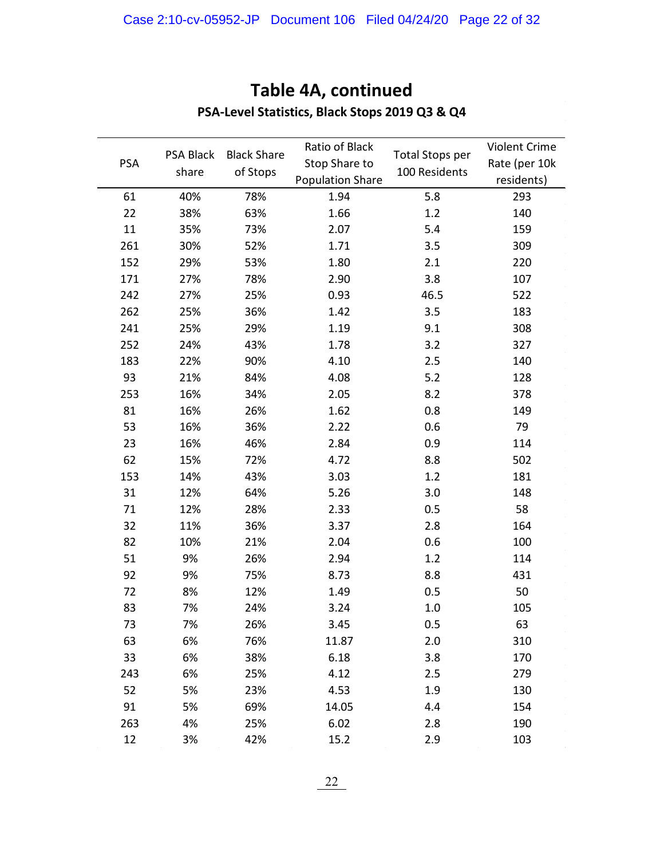| <b>PSA</b> | PSA Black<br>share | <b>Black Share</b><br>of Stops | Ratio of Black<br>Stop Share to<br><b>Population Share</b> | <b>Total Stops per</b><br>100 Residents | Violent Crime<br>Rate (per 10k<br>residents) |
|------------|--------------------|--------------------------------|------------------------------------------------------------|-----------------------------------------|----------------------------------------------|
| 61         | 40%                | 78%                            | 1.94                                                       | 5.8                                     | 293                                          |
| 22         | 38%                | 63%                            | 1.66                                                       | 1.2                                     | 140                                          |
| 11         | 35%                | 73%                            | 2.07                                                       | 5.4                                     | 159                                          |
| 261        | 30%                | 52%                            | 1.71                                                       | 3.5                                     | 309                                          |
| 152        | 29%                | 53%                            | 1.80                                                       | 2.1                                     | 220                                          |
| 171        | 27%                | 78%                            | 2.90                                                       | 3.8                                     | 107                                          |
| 242        | 27%                | 25%                            | 0.93                                                       | 46.5                                    | 522                                          |
| 262        | 25%                | 36%                            | 1.42                                                       | 3.5                                     | 183                                          |
| 241        | 25%                | 29%                            | 1.19                                                       | 9.1                                     | 308                                          |
| 252        | 24%                | 43%                            | 1.78                                                       | 3.2                                     | 327                                          |
| 183        | 22%                | 90%                            | 4.10                                                       | 2.5                                     | 140                                          |
| 93         | 21%                | 84%                            | 4.08                                                       | 5.2                                     | 128                                          |
| 253        | 16%                | 34%                            | 2.05                                                       | 8.2                                     | 378                                          |
| 81         | 16%                | 26%                            | 1.62                                                       | 0.8                                     | 149                                          |
| 53         | 16%                | 36%                            | 2.22                                                       | 0.6                                     | 79                                           |
| 23         | 16%                | 46%                            | 2.84                                                       | 0.9                                     | 114                                          |
| 62         | 15%                | 72%                            | 4.72                                                       | 8.8                                     | 502                                          |
| 153        | 14%                | 43%                            | 3.03                                                       | 1.2                                     | 181                                          |
| 31         | 12%                | 64%                            | 5.26                                                       | 3.0                                     | 148                                          |
| 71         | 12%                | 28%                            | 2.33                                                       | 0.5                                     | 58                                           |
| 32         | 11%                | 36%                            | 3.37                                                       | 2.8                                     | 164                                          |
| 82         | 10%                | 21%                            | 2.04                                                       | 0.6                                     | 100                                          |
| 51         | 9%                 | 26%                            | 2.94                                                       | 1.2                                     | 114                                          |
| 92         | 9%                 | 75%                            | 8.73                                                       | 8.8                                     | 431                                          |
| 72         | 8%                 | 12%                            | 1.49                                                       | 0.5                                     | 50                                           |
| 83         | 7%                 | 24%                            | 3.24                                                       | 1.0                                     | 105                                          |
| 73         | 7%                 | 26%                            | 3.45                                                       | 0.5                                     | 63                                           |
| 63         | 6%                 | 76%                            | 11.87                                                      | 2.0                                     | 310                                          |
| 33         | 6%                 | 38%                            | 6.18                                                       | 3.8                                     | 170                                          |
| 243        | 6%                 | 25%                            | 4.12                                                       | 2.5                                     | 279                                          |
| 52         | 5%                 | 23%                            | 4.53                                                       | 1.9                                     | 130                                          |
| 91         | 5%                 | 69%                            | 14.05                                                      | 4.4                                     | 154                                          |
| 263        | 4%                 | 25%                            | 6.02                                                       | 2.8                                     | 190                                          |
| 12         | 3%                 | 42%                            | 15.2                                                       | 2.9                                     | 103                                          |

## **Table 4A, continued**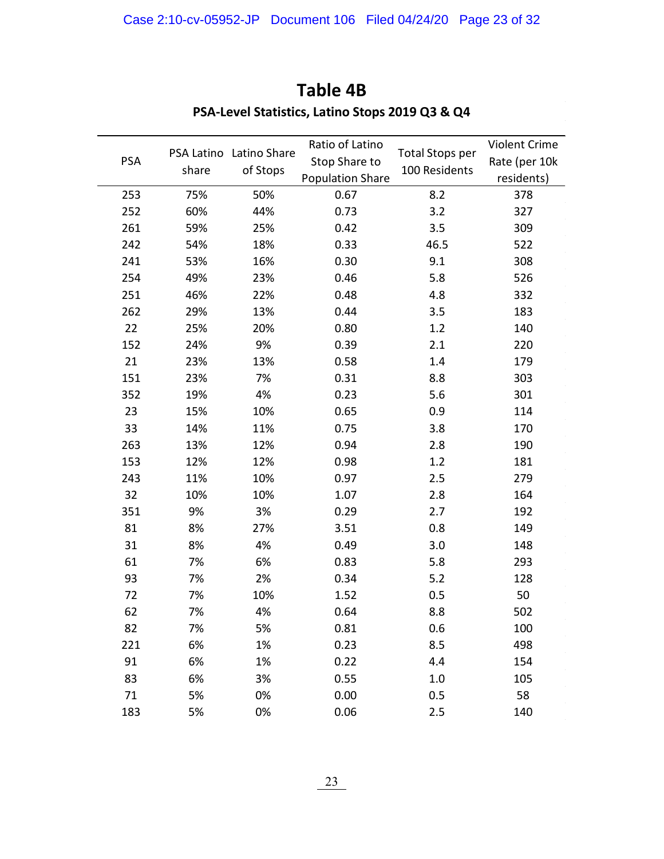| <b>PSA</b> | share | PSA Latino Latino Share<br>of Stops | Ratio of Latino<br>Stop Share to<br><b>Population Share</b> | <b>Total Stops per</b><br>100 Residents | Violent Crime<br>Rate (per 10k<br>residents) |
|------------|-------|-------------------------------------|-------------------------------------------------------------|-----------------------------------------|----------------------------------------------|
| 253        | 75%   | 50%                                 | 0.67                                                        | 8.2                                     | 378                                          |
| 252        | 60%   | 44%                                 | 0.73                                                        | 3.2                                     | 327                                          |
| 261        | 59%   | 25%                                 | 0.42                                                        | 3.5                                     | 309                                          |
| 242        | 54%   | 18%                                 | 0.33                                                        | 46.5                                    | 522                                          |
| 241        | 53%   | 16%                                 | 0.30                                                        | 9.1                                     | 308                                          |
| 254        | 49%   | 23%                                 | 0.46                                                        | 5.8                                     | 526                                          |
| 251        | 46%   | 22%                                 | 0.48                                                        | 4.8                                     | 332                                          |
| 262        | 29%   | 13%                                 | 0.44                                                        | 3.5                                     | 183                                          |
| 22         | 25%   | 20%                                 | 0.80                                                        | 1.2                                     | 140                                          |
| 152        | 24%   | 9%                                  | 0.39                                                        | 2.1                                     | 220                                          |
| 21         | 23%   | 13%                                 | 0.58                                                        | 1.4                                     | 179                                          |
| 151        | 23%   | 7%                                  | 0.31                                                        | 8.8                                     | 303                                          |
| 352        | 19%   | 4%                                  | 0.23                                                        | 5.6                                     | 301                                          |
| 23         | 15%   | 10%                                 | 0.65                                                        | 0.9                                     | 114                                          |
| 33         | 14%   | 11%                                 | 0.75                                                        | 3.8                                     | 170                                          |
| 263        | 13%   | 12%                                 | 0.94                                                        | 2.8                                     | 190                                          |
| 153        | 12%   | 12%                                 | 0.98                                                        | 1.2                                     | 181                                          |
| 243        | 11%   | 10%                                 | 0.97                                                        | 2.5                                     | 279                                          |
| 32         | 10%   | 10%                                 | 1.07                                                        | 2.8                                     | 164                                          |
| 351        | 9%    | 3%                                  | 0.29                                                        | 2.7                                     | 192                                          |
| 81         | 8%    | 27%                                 | 3.51                                                        | 0.8                                     | 149                                          |
| 31         | 8%    | 4%                                  | 0.49                                                        | 3.0                                     | 148                                          |
| 61         | 7%    | 6%                                  | 0.83                                                        | 5.8                                     | 293                                          |
| 93         | 7%    | 2%                                  | 0.34                                                        | 5.2                                     | 128                                          |
| 72         | 7%    | 10%                                 | 1.52                                                        | 0.5                                     | 50                                           |
| 62         | 7%    | 4%                                  | 0.64                                                        | 8.8                                     | 502                                          |
| 82         | 7%    | 5%                                  | 0.81                                                        | 0.6                                     | 100                                          |
| 221        | 6%    | 1%                                  | 0.23                                                        | 8.5                                     | 498                                          |
| 91         | 6%    | 1%                                  | 0.22                                                        | 4.4                                     | 154                                          |
| 83         | 6%    | 3%                                  | 0.55                                                        | 1.0                                     | 105                                          |
| 71         | 5%    | 0%                                  | 0.00                                                        | 0.5                                     | 58                                           |
| 183        | 5%    | 0%                                  | 0.06                                                        | 2.5                                     | 140                                          |

## **Table 4B PSA-Level Statistics, Latino Stops 2019 Q3 & Q4**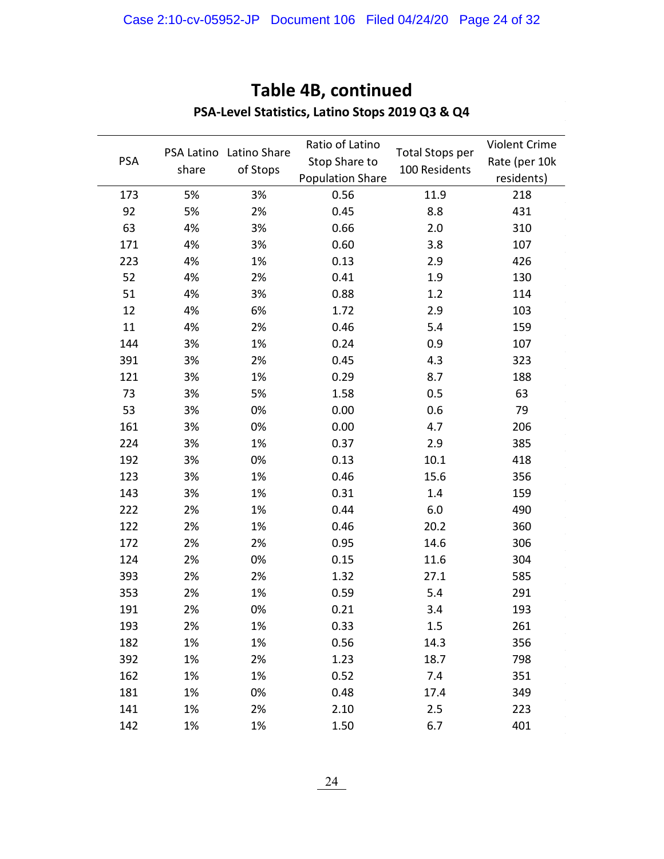| <b>PSA</b> | PSA Latino<br>share | Latino Share<br>of Stops | Ratio of Latino<br>Stop Share to<br><b>Population Share</b> | <b>Total Stops per</b><br>100 Residents | Violent Crime<br>Rate (per 10k<br>residents) |
|------------|---------------------|--------------------------|-------------------------------------------------------------|-----------------------------------------|----------------------------------------------|
| 173        | 5%                  | 3%                       | 0.56                                                        | 11.9                                    | 218                                          |
| 92         | 5%                  | 2%                       | 0.45                                                        | 8.8                                     | 431                                          |
| 63         | 4%                  | 3%                       | 0.66                                                        | 2.0                                     | 310                                          |
| 171        | 4%                  | 3%                       | 0.60                                                        | 3.8                                     | 107                                          |
| 223        | 4%                  | 1%                       | 0.13                                                        | 2.9                                     | 426                                          |
| 52         | 4%                  | 2%                       | 0.41                                                        | 1.9                                     | 130                                          |
| 51         | 4%                  | 3%                       | 0.88                                                        | 1.2                                     | 114                                          |
| 12         | 4%                  | 6%                       | 1.72                                                        | 2.9                                     | 103                                          |
| 11         | 4%                  | 2%                       | 0.46                                                        | 5.4                                     | 159                                          |
| 144        | 3%                  | 1%                       | 0.24                                                        | 0.9                                     | 107                                          |
| 391        | 3%                  | 2%                       | 0.45                                                        | 4.3                                     | 323                                          |
| 121        | 3%                  | 1%                       | 0.29                                                        | 8.7                                     | 188                                          |
| 73         | 3%                  | 5%                       | 1.58                                                        | 0.5                                     | 63                                           |
| 53         | 3%                  | 0%                       | 0.00                                                        | 0.6                                     | 79                                           |
| 161        | 3%                  | 0%                       | 0.00                                                        | 4.7                                     | 206                                          |
| 224        | 3%                  | 1%                       | 0.37                                                        | 2.9                                     | 385                                          |
| 192        | 3%                  | 0%                       | 0.13                                                        | 10.1                                    | 418                                          |
| 123        | 3%                  | 1%                       | 0.46                                                        | 15.6                                    | 356                                          |
| 143        | 3%                  | 1%                       | 0.31                                                        | 1.4                                     | 159                                          |
| 222        | 2%                  | 1%                       | 0.44                                                        | 6.0                                     | 490                                          |
| 122        | 2%                  | 1%                       | 0.46                                                        | 20.2                                    | 360                                          |
| 172        | 2%                  | 2%                       | 0.95                                                        | 14.6                                    | 306                                          |
| 124        | 2%                  | 0%                       | 0.15                                                        | 11.6                                    | 304                                          |
| 393        | 2%                  | 2%                       | 1.32                                                        | 27.1                                    | 585                                          |
| 353        | 2%                  | 1%                       | 0.59                                                        | 5.4                                     | 291                                          |
| 191        | 2%                  | 0%                       | 0.21                                                        | 3.4                                     | 193                                          |
| 193        | 2%                  | 1%                       | 0.33                                                        | 1.5                                     | 261                                          |
| 182        | 1%                  | 1%                       | 0.56                                                        | 14.3                                    | 356                                          |
| 392        | 1%                  | 2%                       | 1.23                                                        | 18.7                                    | 798                                          |
| 162        | 1%                  | 1%                       | 0.52                                                        | 7.4                                     | 351                                          |
| 181        | 1%                  | 0%                       | 0.48                                                        | 17.4                                    | 349                                          |
| 141        | 1%                  | 2%                       | 2.10                                                        | 2.5                                     | 223                                          |
| 142        | 1%                  | 1%                       | 1.50                                                        | 6.7                                     | 401                                          |

### **Table 4B, continued PSA-Level Statistics, Latino Stops 2019 Q3 & Q4**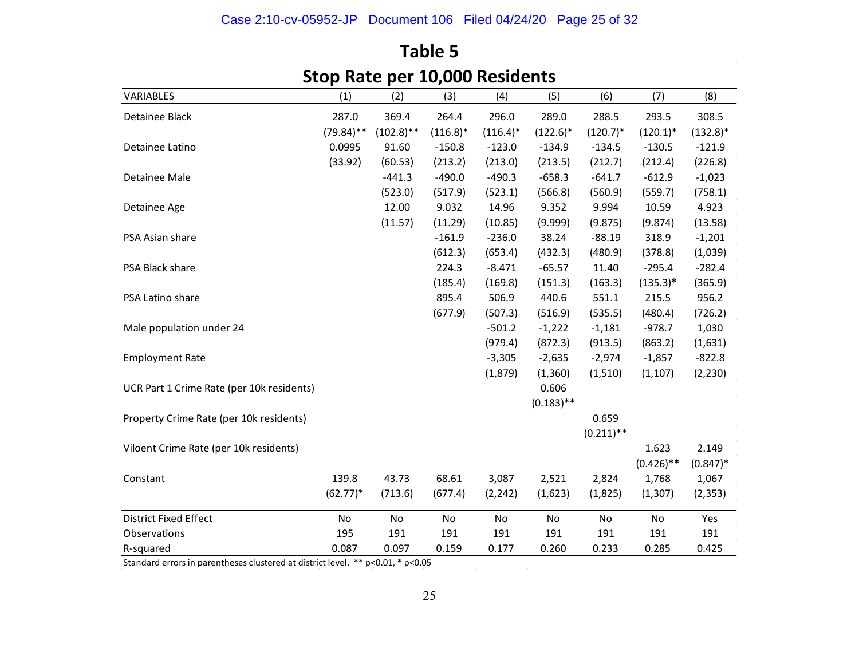| SLUP NALE PET IU,UUU NESIUEIILS           |              |              |             |             |              |              |              |             |
|-------------------------------------------|--------------|--------------|-------------|-------------|--------------|--------------|--------------|-------------|
| VARIABLES                                 | (1)          | (2)          | (3)         | (4)         | (5)          | (6)          | (7)          | (8)         |
| Detainee Black                            | 287.0        | 369.4        | 264.4       | 296.0       | 289.0        | 288.5        | 293.5        | 308.5       |
|                                           | $(79.84)$ ** | $(102.8)$ ** | $(116.8)^*$ | $(116.4)^*$ | $(122.6)^*$  | $(120.7)^*$  | $(120.1)^*$  | $(132.8)^*$ |
| Detainee Latino                           | 0.0995       | 91.60        | $-150.8$    | $-123.0$    | $-134.9$     | $-134.5$     | $-130.5$     | $-121.9$    |
|                                           | (33.92)      | (60.53)      | (213.2)     | (213.0)     | (213.5)      | (212.7)      | (212.4)      | (226.8)     |
| Detainee Male                             |              | $-441.3$     | $-490.0$    | $-490.3$    | $-658.3$     | $-641.7$     | $-612.9$     | $-1,023$    |
|                                           |              | (523.0)      | (517.9)     | (523.1)     | (566.8)      | (560.9)      | (559.7)      | (758.1)     |
| Detainee Age                              |              | 12.00        | 9.032       | 14.96       | 9.352        | 9.994        | 10.59        | 4.923       |
|                                           |              | (11.57)      | (11.29)     | (10.85)     | (9.999)      | (9.875)      | (9.874)      | (13.58)     |
| PSA Asian share                           |              |              | $-161.9$    | $-236.0$    | 38.24        | $-88.19$     | 318.9        | $-1,201$    |
|                                           |              |              | (612.3)     | (653.4)     | (432.3)      | (480.9)      | (378.8)      | (1,039)     |
| PSA Black share                           |              |              | 224.3       | $-8.471$    | $-65.57$     | 11.40        | $-295.4$     | $-282.4$    |
|                                           |              |              | (185.4)     | (169.8)     | (151.3)      | (163.3)      | $(135.3)^*$  | (365.9)     |
| PSA Latino share                          |              |              | 895.4       | 506.9       | 440.6        | 551.1        | 215.5        | 956.2       |
|                                           |              |              | (677.9)     | (507.3)     | (516.9)      | (535.5)      | (480.4)      | (726.2)     |
| Male population under 24                  |              |              |             | $-501.2$    | $-1,222$     | $-1,181$     | $-978.7$     | 1,030       |
|                                           |              |              |             | (979.4)     | (872.3)      | (913.5)      | (863.2)      | (1,631)     |
| <b>Employment Rate</b>                    |              |              |             | $-3,305$    | $-2,635$     | $-2,974$     | $-1,857$     | $-822.8$    |
|                                           |              |              |             | (1,879)     | (1,360)      | (1,510)      | (1, 107)     | (2, 230)    |
| UCR Part 1 Crime Rate (per 10k residents) |              |              |             |             | 0.606        |              |              |             |
|                                           |              |              |             |             | $(0.183)$ ** |              |              |             |
| Property Crime Rate (per 10k residents)   |              |              |             |             |              | 0.659        |              |             |
|                                           |              |              |             |             |              | $(0.211)$ ** |              |             |
| Viloent Crime Rate (per 10k residents)    |              |              |             |             |              |              | 1.623        | 2.149       |
|                                           |              |              |             |             |              |              | $(0.426)$ ** | $(0.847)^*$ |
| Constant                                  | 139.8        | 43.73        | 68.61       | 3,087       | 2,521        | 2,824        | 1,768        | 1,067       |
|                                           | $(62.77)*$   | (713.6)      | (677.4)     | (2, 242)    | (1,623)      | (1,825)      | (1, 307)     | (2, 353)    |
| <b>District Fixed Effect</b>              | No           | No           | No          | No          | No           | No           | No           | Yes         |
| Observations                              | 195          | 191          | 191         | 191         | 191          | 191          | 191          | 191         |
| R-squared                                 | 0.087        | 0.097        | 0.159       | 0.177       | 0.260        | 0.233        | 0.285        | 0.425       |

## **Table 5 Stop Rate per 10,000 Residents**

Standard errors in parentheses clustered at district level. \*\* p<0.01, \* p<0.05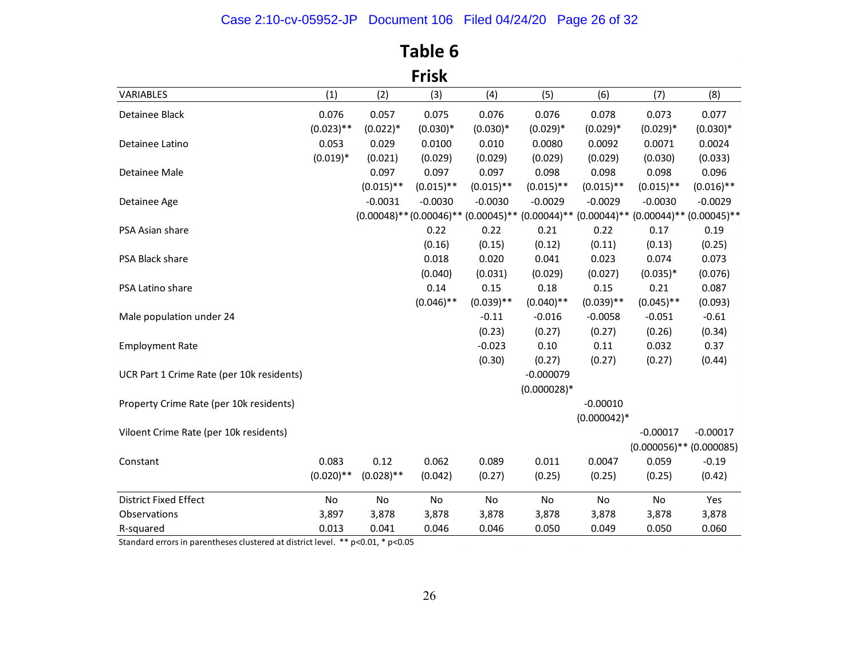## Case 2:10-cv-05952-JP Document 106 Filed 04/24/20 Page 26 of 32

| <b>Frisk</b>                              |              |              |              |              |               |               |                                                                                                          |              |
|-------------------------------------------|--------------|--------------|--------------|--------------|---------------|---------------|----------------------------------------------------------------------------------------------------------|--------------|
| VARIABLES                                 | (1)          | (2)          | (3)          | (4)          | (5)           | (6)           | (7)                                                                                                      | (8)          |
| Detainee Black                            | 0.076        | 0.057        | 0.075        | 0.076        | 0.076         | 0.078         | 0.073                                                                                                    | 0.077        |
|                                           | $(0.023)$ ** | $(0.022)*$   | $(0.030)*$   | $(0.030)*$   | $(0.029)*$    | $(0.029)*$    | $(0.029)*$                                                                                               | $(0.030)*$   |
| Detainee Latino                           | 0.053        | 0.029        | 0.0100       | 0.010        | 0.0080        | 0.0092        | 0.0071                                                                                                   | 0.0024       |
|                                           | $(0.019)*$   | (0.021)      | (0.029)      | (0.029)      | (0.029)       | (0.029)       | (0.030)                                                                                                  | (0.033)      |
| Detainee Male                             |              | 0.097        | 0.097        | 0.097        | 0.098         | 0.098         | 0.098                                                                                                    | 0.096        |
|                                           |              | $(0.015)$ ** | $(0.015)$ ** | $(0.015)$ ** | $(0.015)$ **  | $(0.015)$ **  | $(0.015)$ **                                                                                             | $(0.016)$ ** |
| Detainee Age                              |              | $-0.0031$    | $-0.0030$    | $-0.0030$    | $-0.0029$     | $-0.0029$     | $-0.0030$                                                                                                | $-0.0029$    |
|                                           |              |              |              |              |               |               | $(0.00048)$ ** $(0.00046)$ ** $(0.00045)$ ** $(0.00044)$ ** $(0.00044)$ ** $(0.00044)$ ** $(0.00045)$ ** |              |
| PSA Asian share                           |              |              | 0.22         | 0.22         | 0.21          | 0.22          | 0.17                                                                                                     | 0.19         |
|                                           |              |              | (0.16)       | (0.15)       | (0.12)        | (0.11)        | (0.13)                                                                                                   | (0.25)       |
| PSA Black share                           |              |              | 0.018        | 0.020        | 0.041         | 0.023         | 0.074                                                                                                    | 0.073        |
|                                           |              |              | (0.040)      | (0.031)      | (0.029)       | (0.027)       | $(0.035)*$                                                                                               | (0.076)      |
| PSA Latino share                          |              |              | 0.14         | 0.15         | 0.18          | 0.15          | 0.21                                                                                                     | 0.087        |
|                                           |              |              | $(0.046)$ ** | $(0.039)$ ** | $(0.040)$ **  | $(0.039)$ **  | $(0.045)$ **                                                                                             | (0.093)      |
| Male population under 24                  |              |              |              | $-0.11$      | $-0.016$      | $-0.0058$     | $-0.051$                                                                                                 | $-0.61$      |
|                                           |              |              |              | (0.23)       | (0.27)        | (0.27)        | (0.26)                                                                                                   | (0.34)       |
| <b>Employment Rate</b>                    |              |              |              | $-0.023$     | 0.10          | 0.11          | 0.032                                                                                                    | 0.37         |
|                                           |              |              |              | (0.30)       | (0.27)        | (0.27)        | (0.27)                                                                                                   | (0.44)       |
| UCR Part 1 Crime Rate (per 10k residents) |              |              |              |              | $-0.000079$   |               |                                                                                                          |              |
|                                           |              |              |              |              | $(0.000028)*$ |               |                                                                                                          |              |
| Property Crime Rate (per 10k residents)   |              |              |              |              |               | $-0.00010$    |                                                                                                          |              |
|                                           |              |              |              |              |               | $(0.000042)*$ |                                                                                                          |              |
| Viloent Crime Rate (per 10k residents)    |              |              |              |              |               |               | $-0.00017$                                                                                               | $-0.00017$   |
|                                           |              |              |              |              |               |               | $(0.000056)$ ** $(0.000085)$                                                                             |              |
| Constant                                  | 0.083        | 0.12         | 0.062        | 0.089        | 0.011         | 0.0047        | 0.059                                                                                                    | $-0.19$      |
|                                           | $(0.020)$ ** | $(0.028)$ ** | (0.042)      | (0.27)       | (0.25)        | (0.25)        | (0.25)                                                                                                   | (0.42)       |
| <b>District Fixed Effect</b>              | No           | No           | No           | No           | No            | No            | No                                                                                                       | Yes          |
| Observations                              | 3,897        | 3,878        | 3,878        | 3,878        | 3,878         | 3,878         | 3,878                                                                                                    | 3,878        |
| R-squared                                 | 0.013        | 0.041        | 0.046        | 0.046        | 0.050         | 0.049         | 0.050                                                                                                    | 0.060        |

## **Table 6**

Standard errors in parentheses clustered at district level. \*\* p<0.01, \* p<0.05

 $\sim$   $\sim$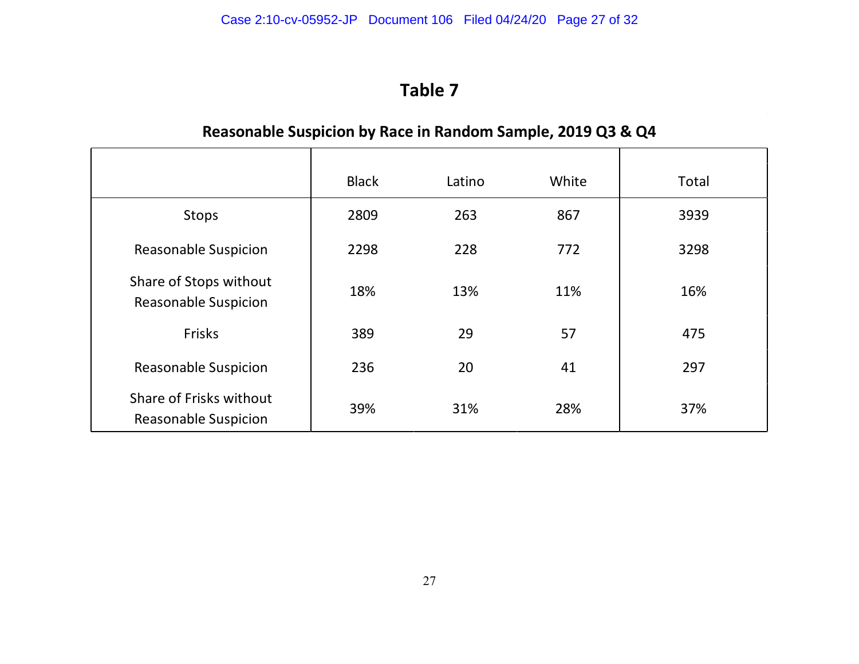**Table 7**

## **Reasonable Suspicion by Race in Random Sample, 2019 Q3 & Q4**

|                                                        | <b>Black</b> | Latino | White | Total |
|--------------------------------------------------------|--------------|--------|-------|-------|
| Stops                                                  | 2809         | 263    | 867   | 3939  |
| <b>Reasonable Suspicion</b>                            | 2298         | 228    | 772   | 3298  |
| Share of Stops without<br><b>Reasonable Suspicion</b>  | 18%          | 13%    | 11%   | 16%   |
| Frisks                                                 | 389          | 29     | 57    | 475   |
| <b>Reasonable Suspicion</b>                            | 236          | 20     | 41    | 297   |
| Share of Frisks without<br><b>Reasonable Suspicion</b> | 39%          | 31%    | 28%   | 37%   |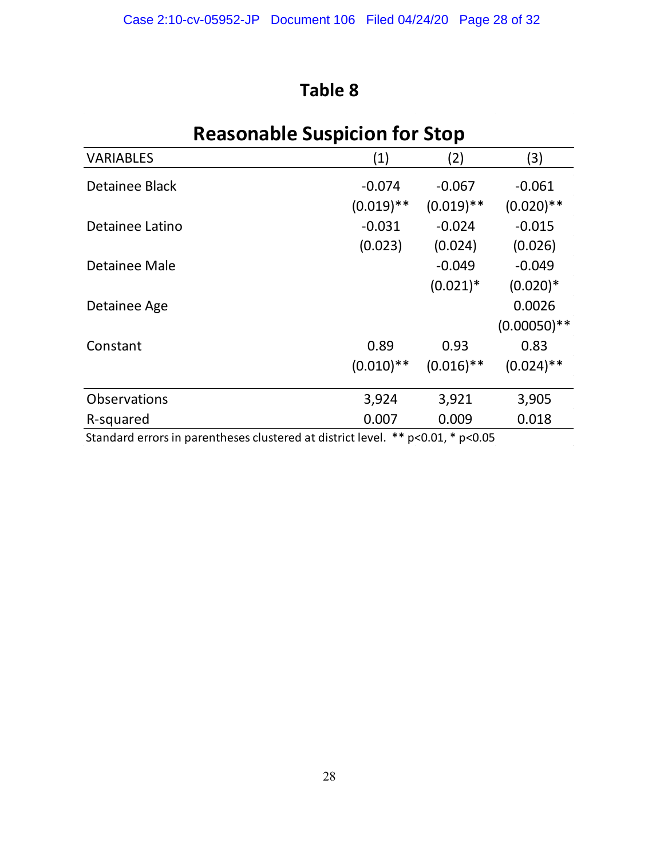## **Reasonable Suspicion for Stop**

| <b>VARIABLES</b>    | (1)          | (2)          | (3)            |
|---------------------|--------------|--------------|----------------|
| Detainee Black      | $-0.074$     | $-0.067$     | $-0.061$       |
|                     | $(0.019)$ ** | $(0.019)$ ** | $(0.020)**$    |
| Detainee Latino     | $-0.031$     | $-0.024$     | $-0.015$       |
|                     | (0.023)      | (0.024)      | (0.026)        |
| Detainee Male       |              | $-0.049$     | $-0.049$       |
|                     |              | $(0.021)^*$  | $(0.020)*$     |
| Detainee Age        |              |              | 0.0026         |
|                     |              |              | $(0.00050)$ ** |
| Constant            | 0.89         | 0.93         | 0.83           |
|                     | $(0.010)$ ** | $(0.016)$ ** | $(0.024)$ **   |
| <b>Observations</b> | 3,924        | 3,921        | 3,905          |
| R-squared           | 0.007        | 0.009        | 0.018          |
|                     |              |              |                |

Standard errors in parentheses clustered at district level. \*\* p<0.01, \* p<0.05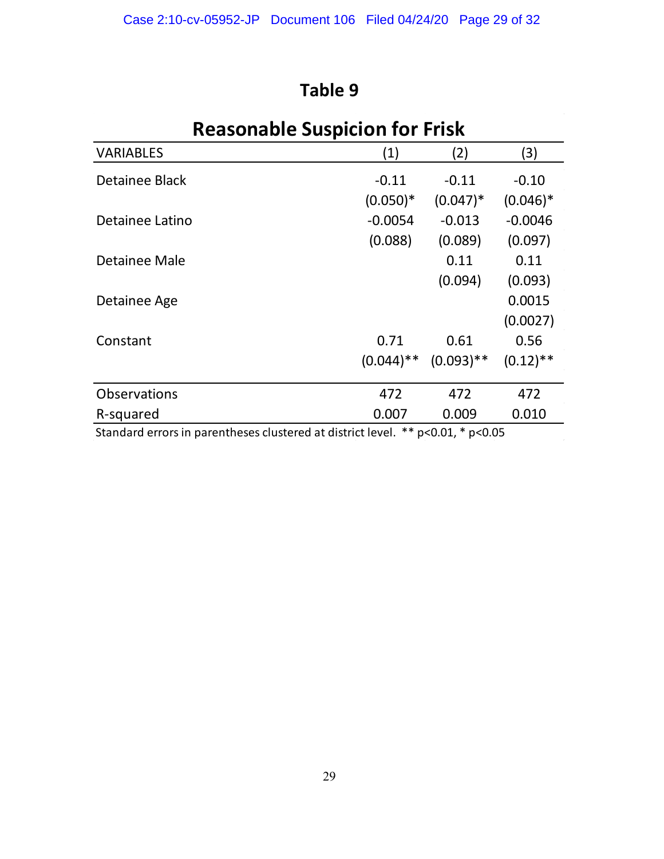| <b>Reasonable Suspicion for Frisk</b>                                                |              |              |                        |  |  |  |  |
|--------------------------------------------------------------------------------------|--------------|--------------|------------------------|--|--|--|--|
| <b>VARIABLES</b>                                                                     | (1)          | (2)          | (3)                    |  |  |  |  |
| Detainee Black                                                                       | $-0.11$      | $-0.11$      | $-0.10$                |  |  |  |  |
|                                                                                      | $(0.050)*$   | $(0.047)^*$  | $(0.046)$ <sup>*</sup> |  |  |  |  |
| Detainee Latino                                                                      | $-0.0054$    | $-0.013$     | $-0.0046$              |  |  |  |  |
|                                                                                      | (0.088)      | (0.089)      | (0.097)                |  |  |  |  |
| Detainee Male                                                                        |              | 0.11         | 0.11                   |  |  |  |  |
|                                                                                      |              | (0.094)      | (0.093)                |  |  |  |  |
| Detainee Age                                                                         |              |              | 0.0015                 |  |  |  |  |
|                                                                                      |              |              | (0.0027)               |  |  |  |  |
| Constant                                                                             | 0.71         | 0.61         | 0.56                   |  |  |  |  |
|                                                                                      | $(0.044)$ ** | $(0.093)$ ** | $(0.12)$ **            |  |  |  |  |
| <b>Observations</b>                                                                  | 472          | 472          | 472                    |  |  |  |  |
| R-squared                                                                            | 0.007        | 0.009        | 0.010                  |  |  |  |  |
| Standard errors in parentheses clustered at district level. ** $p<0.01$ , * $p<0.05$ |              |              |                        |  |  |  |  |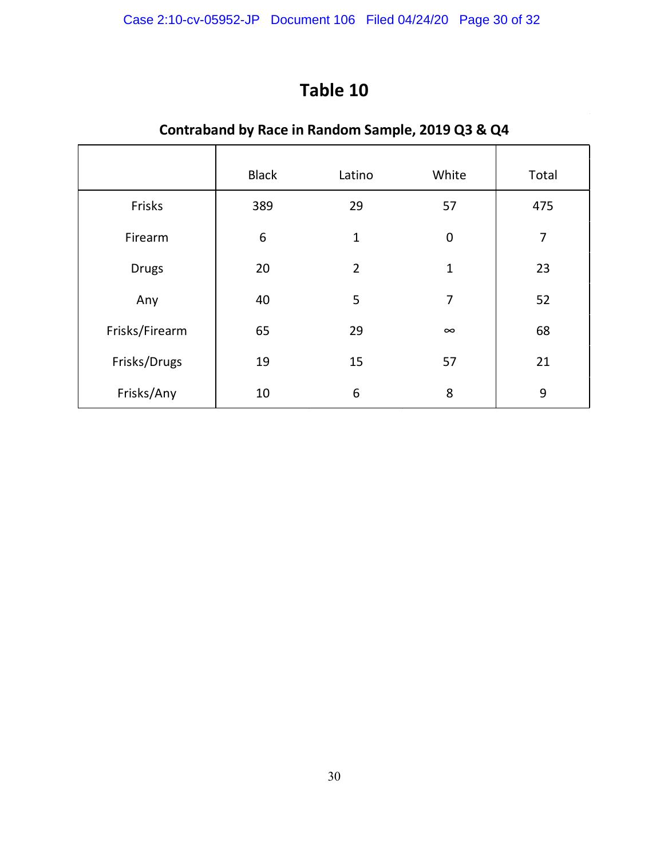## **Contraband by Race in Random Sample, 2019 Q3 & Q4**

|                | <b>Black</b>     | Latino         | White            | Total          |
|----------------|------------------|----------------|------------------|----------------|
| Frisks         | 389              | 29             | 57               | 475            |
| Firearm        | $\boldsymbol{6}$ | $\mathbf{1}$   | $\boldsymbol{0}$ | $\overline{7}$ |
| <b>Drugs</b>   | 20               | $\overline{2}$ | $\mathbf 1$      | 23             |
| Any            | 40               | 5              | 7                | 52             |
| Frisks/Firearm | 65               | 29             | $\infty$         | 68             |
| Frisks/Drugs   | 19               | 15             | 57               | 21             |
| Frisks/Any     | 10               | 6              | 8                | 9              |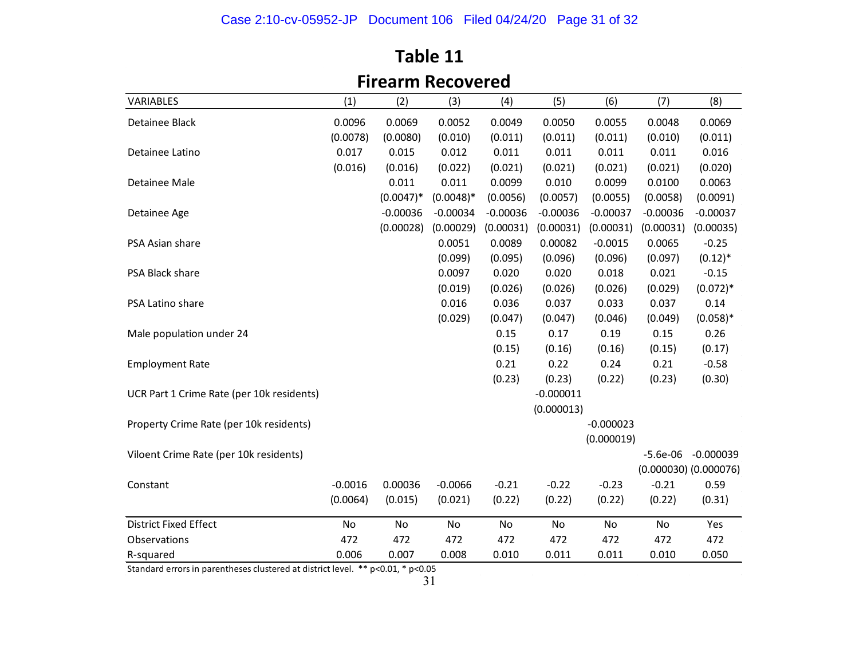## Case 2:10-cv-05952-JP Document 106 Filed 04/24/20 Page 31 of 32

| <b>Firearm Recovered</b>                  |           |              |             |            |             |             |            |                           |  |
|-------------------------------------------|-----------|--------------|-------------|------------|-------------|-------------|------------|---------------------------|--|
| VARIABLES                                 | (1)       | (2)          | (3)         | (4)        | (5)         | (6)         | (7)        | (8)                       |  |
| Detainee Black                            | 0.0096    | 0.0069       | 0.0052      | 0.0049     | 0.0050      | 0.0055      | 0.0048     | 0.0069                    |  |
|                                           | (0.0078)  | (0.0080)     | (0.010)     | (0.011)    | (0.011)     | (0.011)     | (0.010)    | (0.011)                   |  |
| Detainee Latino                           | 0.017     | 0.015        | 0.012       | 0.011      | 0.011       | 0.011       | 0.011      | 0.016                     |  |
|                                           | (0.016)   | (0.016)      | (0.022)     | (0.021)    | (0.021)     | (0.021)     | (0.021)    | (0.020)                   |  |
| Detainee Male                             |           | 0.011        | 0.011       | 0.0099     | 0.010       | 0.0099      | 0.0100     | 0.0063                    |  |
|                                           |           | $(0.0047)^*$ | $(0.0048)*$ | (0.0056)   | (0.0057)    | (0.0055)    | (0.0058)   | (0.0091)                  |  |
| Detainee Age                              |           | $-0.00036$   | $-0.00034$  | $-0.00036$ | $-0.00036$  | $-0.00037$  | $-0.00036$ | $-0.00037$                |  |
|                                           |           | (0.00028)    | (0.00029)   | (0.00031)  | (0.00031)   | (0.00031)   | (0.00031)  | (0.00035)                 |  |
| PSA Asian share                           |           |              | 0.0051      | 0.0089     | 0.00082     | $-0.0015$   | 0.0065     | $-0.25$                   |  |
|                                           |           |              | (0.099)     | (0.095)    | (0.096)     | (0.096)     | (0.097)    | $(0.12)^*$                |  |
| PSA Black share                           |           |              | 0.0097      | 0.020      | 0.020       | 0.018       | 0.021      | $-0.15$                   |  |
|                                           |           |              | (0.019)     | (0.026)    | (0.026)     | (0.026)     | (0.029)    | $(0.072)*$                |  |
| PSA Latino share                          |           |              | 0.016       | 0.036      | 0.037       | 0.033       | 0.037      | 0.14                      |  |
|                                           |           |              | (0.029)     | (0.047)    | (0.047)     | (0.046)     | (0.049)    | $(0.058)*$                |  |
| Male population under 24                  |           |              |             | 0.15       | 0.17        | 0.19        | 0.15       | 0.26                      |  |
|                                           |           |              |             | (0.15)     | (0.16)      | (0.16)      | (0.15)     | (0.17)                    |  |
| <b>Employment Rate</b>                    |           |              |             | 0.21       | 0.22        | 0.24        | 0.21       | $-0.58$                   |  |
|                                           |           |              |             | (0.23)     | (0.23)      | (0.22)      | (0.23)     | (0.30)                    |  |
| UCR Part 1 Crime Rate (per 10k residents) |           |              |             |            | $-0.000011$ |             |            |                           |  |
|                                           |           |              |             |            | (0.000013)  |             |            |                           |  |
| Property Crime Rate (per 10k residents)   |           |              |             |            |             | $-0.000023$ |            |                           |  |
|                                           |           |              |             |            |             | (0.000019)  |            |                           |  |
| Viloent Crime Rate (per 10k residents)    |           |              |             |            |             |             | $-5.6e-06$ | $-0.000039$               |  |
|                                           |           |              |             |            |             |             |            | $(0.000030)$ $(0.000076)$ |  |
| Constant                                  | $-0.0016$ | 0.00036      | $-0.0066$   | $-0.21$    | $-0.22$     | $-0.23$     | $-0.21$    | 0.59                      |  |
|                                           | (0.0064)  | (0.015)      | (0.021)     | (0.22)     | (0.22)      | (0.22)      | (0.22)     | (0.31)                    |  |
| <b>District Fixed Effect</b>              | No        | No           | No          | No         | No          | No          | No         | Yes                       |  |
| Observations                              | 472       | 472          | 472         | 472        | 472         | 472         | 472        | 472                       |  |
| R-squared                                 | 0.006     | 0.007        | 0.008       | 0.010      | 0.011       | 0.011       | 0.010      | 0.050                     |  |

## **Table 11**

Standard errors in parentheses clustered at district level. \*\* p<0.01, \* p<0.05

 $\sim$